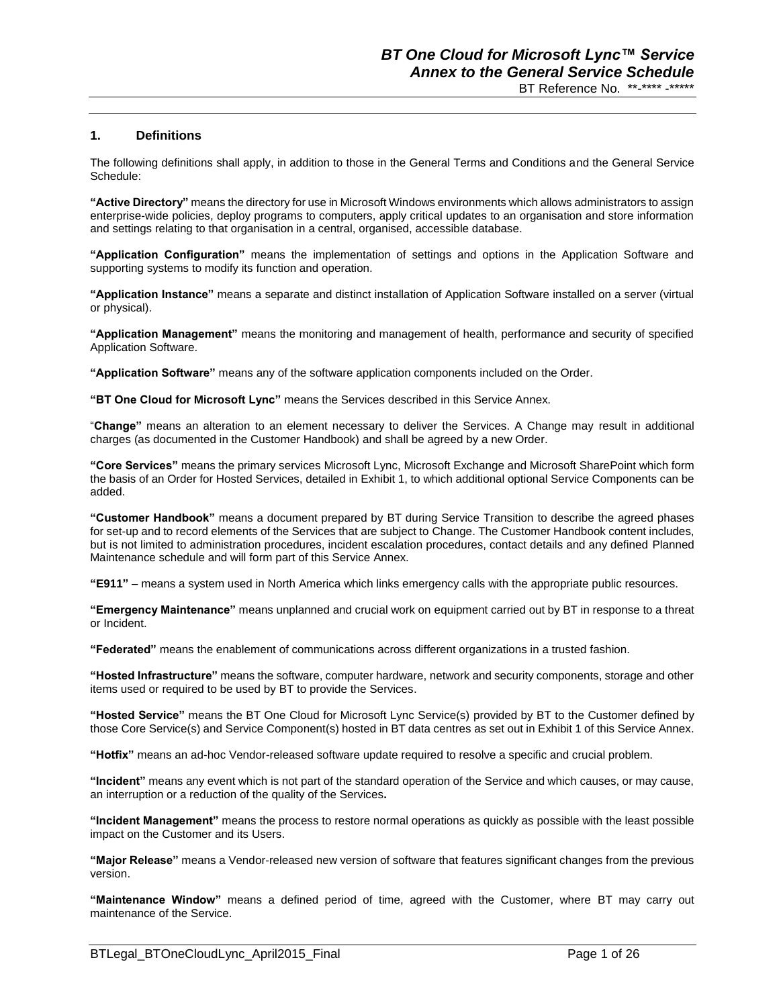## **1. Definitions**

The following definitions shall apply, in addition to those in the General Terms and Conditions and the General Service Schedule:

**"Active Directory"** means the directory for use in Microsoft Windows environments which allows administrators to assign enterprise-wide policies, deploy programs to computers, apply critical updates to an organisation and store information and settings relating to that organisation in a central, organised, accessible database.

**"Application Configuration"** means the implementation of settings and options in the Application Software and supporting systems to modify its function and operation.

**"Application Instance"** means a separate and distinct installation of Application Software installed on a server (virtual or physical).

**"Application Management"** means the monitoring and management of health, performance and security of specified Application Software.

**"Application Software"** means any of the software application components included on the Order.

**"BT One Cloud for Microsoft Lync"** means the Services described in this Service Annex.

"**Change"** means an alteration to an element necessary to deliver the Services. A Change may result in additional charges (as documented in the Customer Handbook) and shall be agreed by a new Order.

**"Core Services"** means the primary services Microsoft Lync, Microsoft Exchange and Microsoft SharePoint which form the basis of an Order for Hosted Services, detailed in Exhibit 1, to which additional optional Service Components can be added.

**"Customer Handbook"** means a document prepared by BT during Service Transition to describe the agreed phases for set-up and to record elements of the Services that are subject to Change. The Customer Handbook content includes, but is not limited to administration procedures, incident escalation procedures, contact details and any defined Planned Maintenance schedule and will form part of this Service Annex.

**"E911"** – means a system used in North America which links emergency calls with the appropriate public resources.

**"Emergency Maintenance"** means unplanned and crucial work on equipment carried out by BT in response to a threat or Incident.

**"Federated"** means the enablement of communications across different organizations in a trusted fashion.

**"Hosted Infrastructure"** means the software, computer hardware, network and security components, storage and other items used or required to be used by BT to provide the Services.

**"Hosted Service"** means the BT One Cloud for Microsoft Lync Service(s) provided by BT to the Customer defined by those Core Service(s) and Service Component(s) hosted in BT data centres as set out in Exhibit 1 of this Service Annex.

**"Hotfix"** means an ad-hoc Vendor-released software update required to resolve a specific and crucial problem.

**"Incident"** means any event which is not part of the standard operation of the Service and which causes, or may cause, an interruption or a reduction of the quality of the Services**.**

**"Incident Management"** means the process to restore normal operations as quickly as possible with the least possible impact on the Customer and its Users.

**"Major Release"** means a Vendor-released new version of software that features significant changes from the previous version.

**"Maintenance Window"** means a defined period of time, agreed with the Customer, where BT may carry out maintenance of the Service.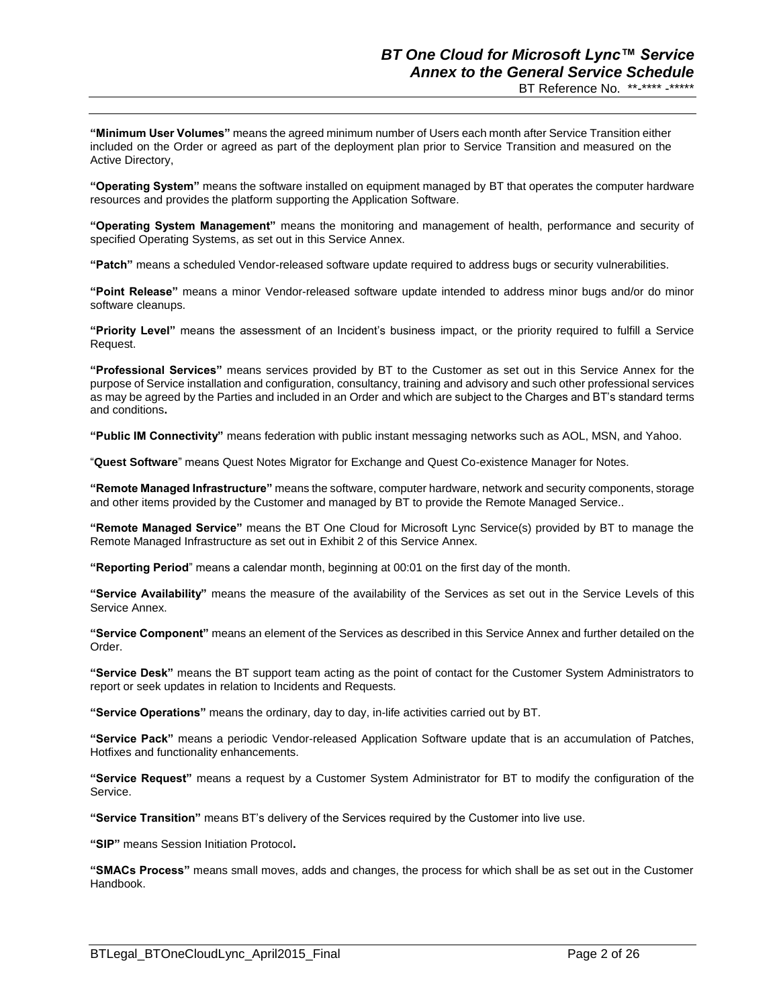**"Minimum User Volumes"** means the agreed minimum number of Users each month after Service Transition either included on the Order or agreed as part of the deployment plan prior to Service Transition and measured on the Active Directory,

**"Operating System"** means the software installed on equipment managed by BT that operates the computer hardware resources and provides the platform supporting the Application Software.

**"Operating System Management"** means the monitoring and management of health, performance and security of specified Operating Systems, as set out in this Service Annex.

**"Patch"** means a scheduled Vendor-released software update required to address bugs or security vulnerabilities.

**"Point Release"** means a minor Vendor-released software update intended to address minor bugs and/or do minor software cleanups.

**"Priority Level"** means the assessment of an Incident's business impact, or the priority required to fulfill a Service Request.

**"Professional Services"** means services provided by BT to the Customer as set out in this Service Annex for the purpose of Service installation and configuration, consultancy, training and advisory and such other professional services as may be agreed by the Parties and included in an Order and which are subject to the Charges and BT's standard terms and conditions**.**

**"Public IM Connectivity"** means federation with public instant messaging networks such as AOL, MSN, and Yahoo.

"**Quest Software**" means Quest Notes Migrator for Exchange and Quest Co-existence Manager for Notes.

**"Remote Managed Infrastructure"** means the software, computer hardware, network and security components, storage and other items provided by the Customer and managed by BT to provide the Remote Managed Service..

**"Remote Managed Service"** means the BT One Cloud for Microsoft Lync Service(s) provided by BT to manage the Remote Managed Infrastructure as set out in Exhibit 2 of this Service Annex.

**"Reporting Period**" means a calendar month, beginning at 00:01 on the first day of the month.

**"Service Availability"** means the measure of the availability of the Services as set out in the Service Levels of this Service Annex.

**"Service Component"** means an element of the Services as described in this Service Annex and further detailed on the Order.

**"Service Desk"** means the BT support team acting as the point of contact for the Customer System Administrators to report or seek updates in relation to Incidents and Requests.

**"Service Operations"** means the ordinary, day to day, in-life activities carried out by BT.

**"Service Pack"** means a periodic Vendor-released Application Software update that is an accumulation of Patches, Hotfixes and functionality enhancements.

**"Service Request"** means a request by a Customer System Administrator for BT to modify the configuration of the Service.

**"Service Transition"** means BT's delivery of the Services required by the Customer into live use.

**"SIP"** means Session Initiation Protocol**.**

**"SMACs Process"** means small moves, adds and changes, the process for which shall be as set out in the Customer Handbook.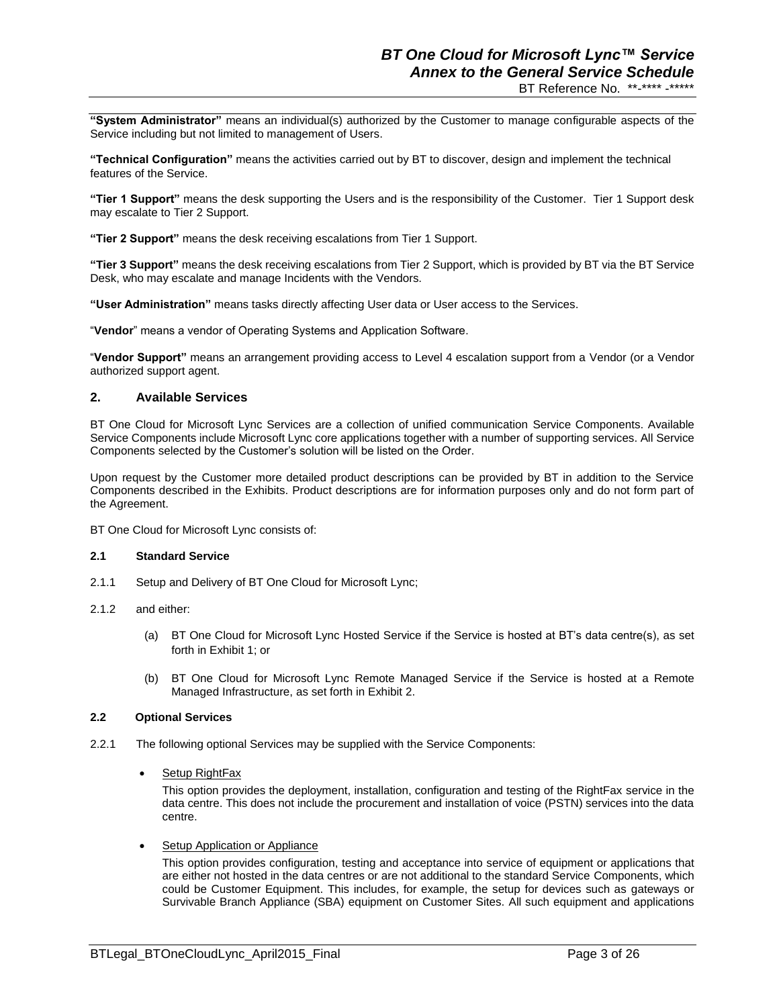**"System Administrator"** means an individual(s) authorized by the Customer to manage configurable aspects of the Service including but not limited to management of Users.

**"Technical Configuration"** means the activities carried out by BT to discover, design and implement the technical features of the Service.

**"Tier 1 Support"** means the desk supporting the Users and is the responsibility of the Customer. Tier 1 Support desk may escalate to Tier 2 Support.

**"Tier 2 Support"** means the desk receiving escalations from Tier 1 Support.

**"Tier 3 Support"** means the desk receiving escalations from Tier 2 Support, which is provided by BT via the BT Service Desk, who may escalate and manage Incidents with the Vendors.

**"User Administration"** means tasks directly affecting User data or User access to the Services.

"**Vendor**" means a vendor of Operating Systems and Application Software.

"**Vendor Support"** means an arrangement providing access to Level 4 escalation support from a Vendor (or a Vendor authorized support agent.

## **2. Available Services**

BT One Cloud for Microsoft Lync Services are a collection of unified communication Service Components. Available Service Components include Microsoft Lync core applications together with a number of supporting services. All Service Components selected by the Customer's solution will be listed on the Order.

Upon request by the Customer more detailed product descriptions can be provided by BT in addition to the Service Components described in the Exhibits. Product descriptions are for information purposes only and do not form part of the Agreement.

BT One Cloud for Microsoft Lync consists of:

#### **2.1 Standard Service**

- 2.1.1 Setup and Delivery of BT One Cloud for Microsoft Lync;
- 2.1.2 and either:
	- (a) BT One Cloud for Microsoft Lync Hosted Service if the Service is hosted at BT's data centre(s), as set forth in Exhibit 1; or
	- (b) BT One Cloud for Microsoft Lync Remote Managed Service if the Service is hosted at a Remote Managed Infrastructure, as set forth in Exhibit 2.

#### **2.2 Optional Services**

- 2.2.1 The following optional Services may be supplied with the Service Components:
	- Setup RightFax

This option provides the deployment, installation, configuration and testing of the RightFax service in the data centre. This does not include the procurement and installation of voice (PSTN) services into the data centre.

Setup Application or Appliance

This option provides configuration, testing and acceptance into service of equipment or applications that are either not hosted in the data centres or are not additional to the standard Service Components, which could be Customer Equipment. This includes, for example, the setup for devices such as gateways or Survivable Branch Appliance (SBA) equipment on Customer Sites. All such equipment and applications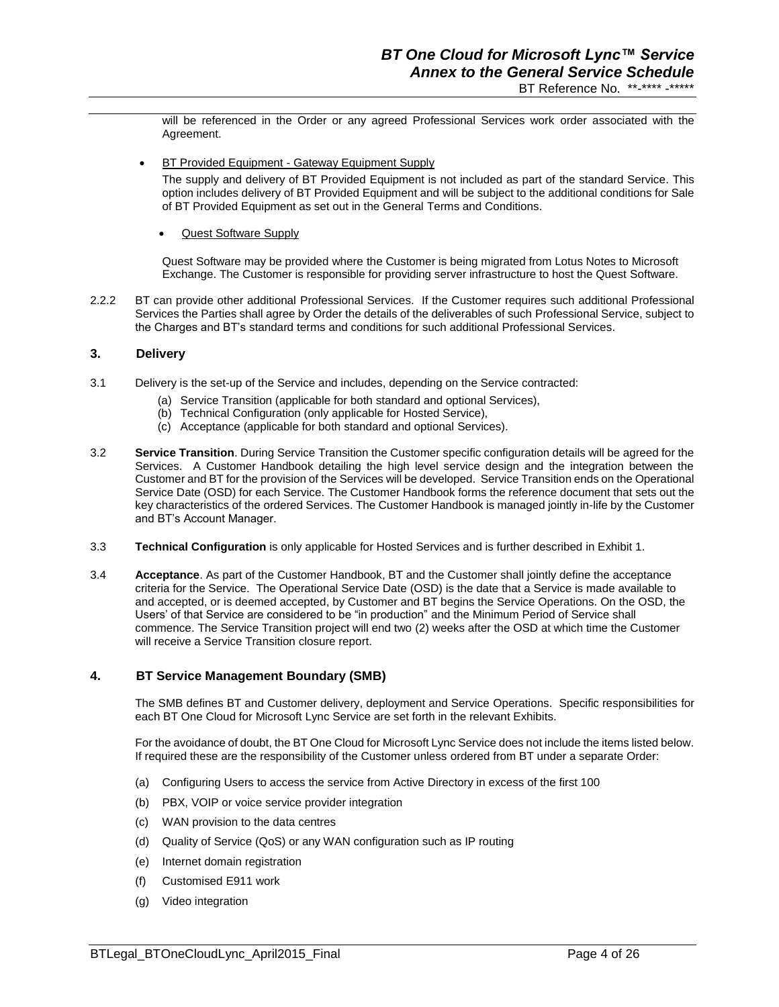will be referenced in the Order or any agreed Professional Services work order associated with the Agreement.

BT Provided Equipment - Gateway Equipment Supply

The supply and delivery of BT Provided Equipment is not included as part of the standard Service. This option includes delivery of BT Provided Equipment and will be subject to the additional conditions for Sale of BT Provided Equipment as set out in the General Terms and Conditions.

Quest Software Supply

Quest Software may be provided where the Customer is being migrated from Lotus Notes to Microsoft Exchange. The Customer is responsible for providing server infrastructure to host the Quest Software.

2.2.2 BT can provide other additional Professional Services. If the Customer requires such additional Professional Services the Parties shall agree by Order the details of the deliverables of such Professional Service, subject to the Charges and BT's standard terms and conditions for such additional Professional Services.

## **3. Delivery**

- 3.1 Delivery is the set-up of the Service and includes, depending on the Service contracted:
	- (a) Service Transition (applicable for both standard and optional Services),
	- (b) Technical Configuration (only applicable for Hosted Service),
	- (c) Acceptance (applicable for both standard and optional Services).
- 3.2 **Service Transition**. During Service Transition the Customer specific configuration details will be agreed for the Services. A Customer Handbook detailing the high level service design and the integration between the Customer and BT for the provision of the Services will be developed. Service Transition ends on the Operational Service Date (OSD) for each Service. The Customer Handbook forms the reference document that sets out the key characteristics of the ordered Services. The Customer Handbook is managed jointly in-life by the Customer and BT's Account Manager.
- 3.3 **Technical Configuration** is only applicable for Hosted Services and is further described in Exhibit 1.
- 3.4 **Acceptance**. As part of the Customer Handbook, BT and the Customer shall jointly define the acceptance criteria for the Service. The Operational Service Date (OSD) is the date that a Service is made available to and accepted, or is deemed accepted, by Customer and BT begins the Service Operations. On the OSD, the Users' of that Service are considered to be "in production" and the Minimum Period of Service shall commence. The Service Transition project will end two (2) weeks after the OSD at which time the Customer will receive a Service Transition closure report.

#### **4. BT Service Management Boundary (SMB)**

The SMB defines BT and Customer delivery, deployment and Service Operations. Specific responsibilities for each BT One Cloud for Microsoft Lync Service are set forth in the relevant Exhibits.

For the avoidance of doubt, the BT One Cloud for Microsoft Lync Service does not include the items listed below. If required these are the responsibility of the Customer unless ordered from BT under a separate Order:

- (a) Configuring Users to access the service from Active Directory in excess of the first 100
- (b) PBX, VOIP or voice service provider integration
- (c) WAN provision to the data centres
- (d) Quality of Service (QoS) or any WAN configuration such as IP routing
- (e) Internet domain registration
- (f) Customised E911 work
- (g) Video integration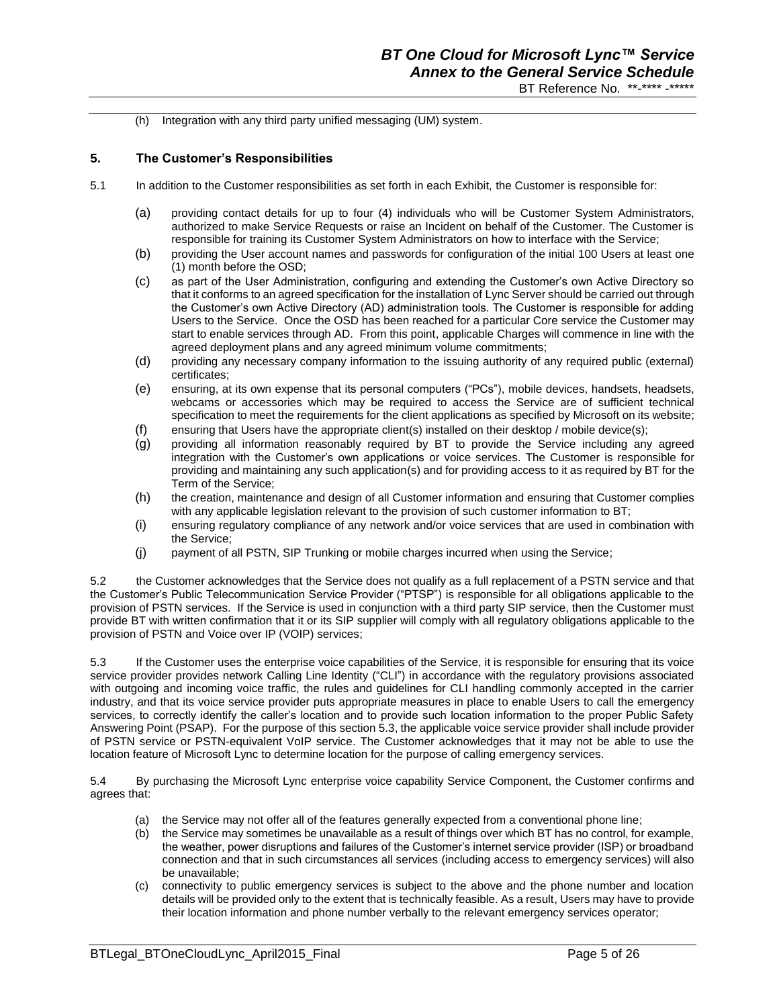(h) Integration with any third party unified messaging (UM) system.

## **5. The Customer's Responsibilities**

- 5.1 In addition to the Customer responsibilities as set forth in each Exhibit, the Customer is responsible for:
	- (a) providing contact details for up to four (4) individuals who will be Customer System Administrators, authorized to make Service Requests or raise an Incident on behalf of the Customer. The Customer is responsible for training its Customer System Administrators on how to interface with the Service;
	- (b) providing the User account names and passwords for configuration of the initial 100 Users at least one (1) month before the OSD;
	- (c) as part of the User Administration, configuring and extending the Customer's own Active Directory so that it conforms to an agreed specification for the installation of Lync Server should be carried out through the Customer's own Active Directory (AD) administration tools. The Customer is responsible for adding Users to the Service. Once the OSD has been reached for a particular Core service the Customer may start to enable services through AD. From this point, applicable Charges will commence in line with the agreed deployment plans and any agreed minimum volume commitments;
	- (d) providing any necessary company information to the issuing authority of any required public (external) certificates;
	- (e) ensuring, at its own expense that its personal computers ("PCs"), mobile devices, handsets, headsets, webcams or accessories which may be required to access the Service are of sufficient technical specification to meet the requirements for the client applications as specified by Microsoft on its website;
	- (f) ensuring that Users have the appropriate client(s) installed on their desktop / mobile device(s);
	- (g) providing all information reasonably required by BT to provide the Service including any agreed integration with the Customer's own applications or voice services. The Customer is responsible for providing and maintaining any such application(s) and for providing access to it as required by BT for the Term of the Service;
	- (h) the creation, maintenance and design of all Customer information and ensuring that Customer complies with any applicable legislation relevant to the provision of such customer information to BT;
	- (i) ensuring regulatory compliance of any network and/or voice services that are used in combination with the Service;
	- (j) payment of all PSTN, SIP Trunking or mobile charges incurred when using the Service;

5.2 the Customer acknowledges that the Service does not qualify as a full replacement of a PSTN service and that the Customer's Public Telecommunication Service Provider ("PTSP") is responsible for all obligations applicable to the provision of PSTN services. If the Service is used in conjunction with a third party SIP service, then the Customer must provide BT with written confirmation that it or its SIP supplier will comply with all regulatory obligations applicable to the provision of PSTN and Voice over IP (VOIP) services;

5.3 If the Customer uses the enterprise voice capabilities of the Service, it is responsible for ensuring that its voice service provider provides network Calling Line Identity ("CLI") in accordance with the regulatory provisions associated with outgoing and incoming voice traffic, the rules and guidelines for CLI handling commonly accepted in the carrier industry, and that its voice service provider puts appropriate measures in place to enable Users to call the emergency services, to correctly identify the caller's location and to provide such location information to the proper Public Safety Answering Point (PSAP). For the purpose of this section 5.3, the applicable voice service provider shall include provider of PSTN service or PSTN-equivalent VoIP service. The Customer acknowledges that it may not be able to use the location feature of Microsoft Lync to determine location for the purpose of calling emergency services.

5.4 By purchasing the Microsoft Lync enterprise voice capability Service Component, the Customer confirms and agrees that:

- (a) the Service may not offer all of the features generally expected from a conventional phone line;
- (b) the Service may sometimes be unavailable as a result of things over which BT has no control, for example, the weather, power disruptions and failures of the Customer's internet service provider (ISP) or broadband connection and that in such circumstances all services (including access to emergency services) will also be unavailable;
- (c) connectivity to public emergency services is subject to the above and the phone number and location details will be provided only to the extent that is technically feasible. As a result, Users may have to provide their location information and phone number verbally to the relevant emergency services operator;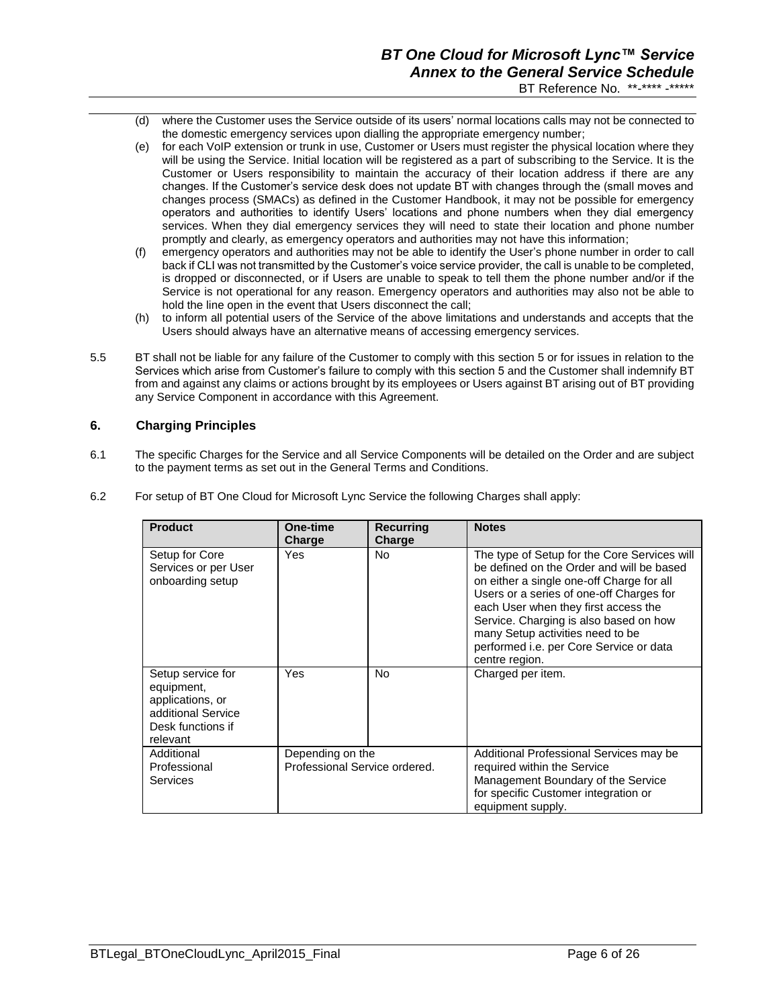- (d) where the Customer uses the Service outside of its users' normal locations calls may not be connected to the domestic emergency services upon dialling the appropriate emergency number;
- (e) for each VoIP extension or trunk in use, Customer or Users must register the physical location where they will be using the Service. Initial location will be registered as a part of subscribing to the Service. It is the Customer or Users responsibility to maintain the accuracy of their location address if there are any changes. If the Customer's service desk does not update BT with changes through the (small moves and changes process (SMACs) as defined in the Customer Handbook, it may not be possible for emergency operators and authorities to identify Users' locations and phone numbers when they dial emergency services. When they dial emergency services they will need to state their location and phone number promptly and clearly, as emergency operators and authorities may not have this information;
- (f) emergency operators and authorities may not be able to identify the User's phone number in order to call back if CLI was not transmitted by the Customer's voice service provider, the call is unable to be completed, is dropped or disconnected, or if Users are unable to speak to tell them the phone number and/or if the Service is not operational for any reason. Emergency operators and authorities may also not be able to hold the line open in the event that Users disconnect the call;
- (h) to inform all potential users of the Service of the above limitations and understands and accepts that the Users should always have an alternative means of accessing emergency services.
- 5.5 BT shall not be liable for any failure of the Customer to comply with this section 5 or for issues in relation to the Services which arise from Customer's failure to comply with this section 5 and the Customer shall indemnify BT from and against any claims or actions brought by its employees or Users against BT arising out of BT providing any Service Component in accordance with this Agreement.

## **6. Charging Principles**

6.1 The specific Charges for the Service and all Service Components will be detailed on the Order and are subject to the payment terms as set out in the General Terms and Conditions.

| 6.2 | For setup of BT One Cloud for Microsoft Lync Service the following Charges shall apply: |  |  |
|-----|-----------------------------------------------------------------------------------------|--|--|
|     |                                                                                         |  |  |

| <b>Product</b>                                                                                             | One-time<br>Charge                                | <b>Recurring</b><br>Charge | <b>Notes</b>                                                                                                                                                                                                                                                                                                                                                          |
|------------------------------------------------------------------------------------------------------------|---------------------------------------------------|----------------------------|-----------------------------------------------------------------------------------------------------------------------------------------------------------------------------------------------------------------------------------------------------------------------------------------------------------------------------------------------------------------------|
| Setup for Core<br>Services or per User<br>onboarding setup                                                 | Yes                                               | <b>No</b>                  | The type of Setup for the Core Services will<br>be defined on the Order and will be based<br>on either a single one-off Charge for all<br>Users or a series of one-off Charges for<br>each User when they first access the<br>Service. Charging is also based on how<br>many Setup activities need to be<br>performed i.e. per Core Service or data<br>centre region. |
| Setup service for<br>equipment,<br>applications, or<br>additional Service<br>Desk functions if<br>relevant | Yes                                               | No.                        | Charged per item.                                                                                                                                                                                                                                                                                                                                                     |
| Additional<br>Professional<br>Services                                                                     | Depending on the<br>Professional Service ordered. |                            | Additional Professional Services may be<br>required within the Service<br>Management Boundary of the Service<br>for specific Customer integration or<br>equipment supply.                                                                                                                                                                                             |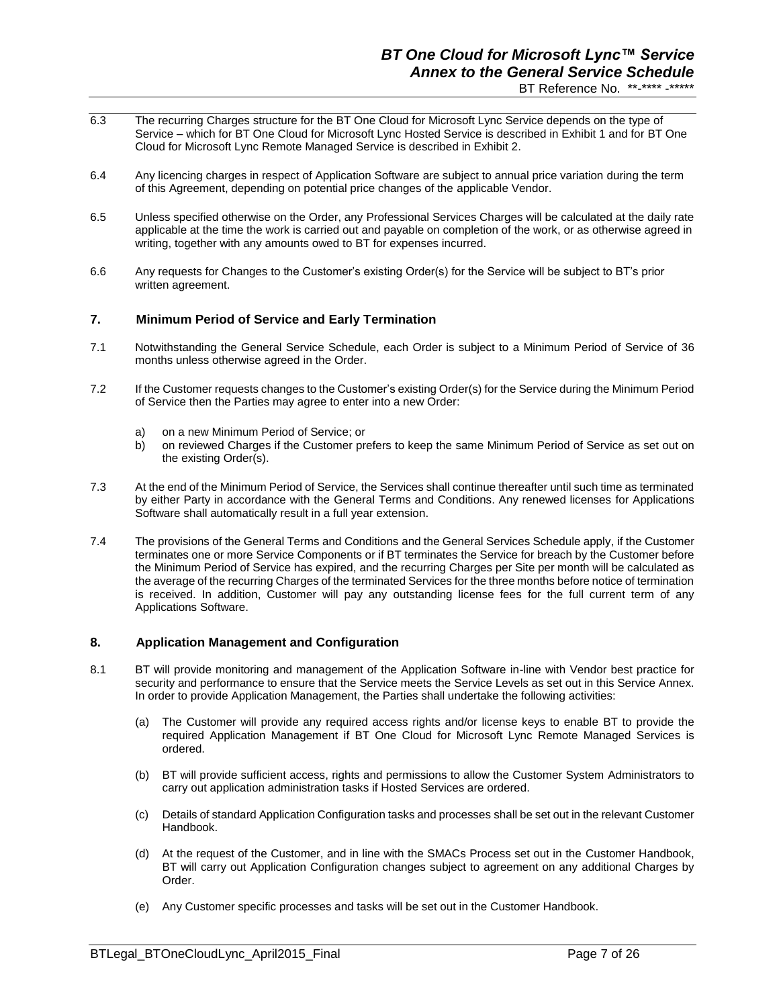- 6.3 The recurring Charges structure for the BT One Cloud for Microsoft Lync Service depends on the type of Service – which for BT One Cloud for Microsoft Lync Hosted Service is described in Exhibit 1 and for BT One Cloud for Microsoft Lync Remote Managed Service is described in Exhibit 2.
- 6.4 Any licencing charges in respect of Application Software are subject to annual price variation during the term of this Agreement, depending on potential price changes of the applicable Vendor.
- 6.5 Unless specified otherwise on the Order, any Professional Services Charges will be calculated at the daily rate applicable at the time the work is carried out and payable on completion of the work, or as otherwise agreed in writing, together with any amounts owed to BT for expenses incurred.
- 6.6 Any requests for Changes to the Customer's existing Order(s) for the Service will be subject to BT's prior written agreement.

### **7. Minimum Period of Service and Early Termination**

- 7.1 Notwithstanding the General Service Schedule, each Order is subject to a Minimum Period of Service of 36 months unless otherwise agreed in the Order.
- 7.2 If the Customer requests changes to the Customer's existing Order(s) for the Service during the Minimum Period of Service then the Parties may agree to enter into a new Order:
	- a) on a new Minimum Period of Service; or
	- b) on reviewed Charges if the Customer prefers to keep the same Minimum Period of Service as set out on the existing Order(s).
- 7.3 At the end of the Minimum Period of Service, the Services shall continue thereafter until such time as terminated by either Party in accordance with the General Terms and Conditions. Any renewed licenses for Applications Software shall automatically result in a full year extension.
- 7.4 The provisions of the General Terms and Conditions and the General Services Schedule apply, if the Customer terminates one or more Service Components or if BT terminates the Service for breach by the Customer before the Minimum Period of Service has expired, and the recurring Charges per Site per month will be calculated as the average of the recurring Charges of the terminated Services for the three months before notice of termination is received. In addition, Customer will pay any outstanding license fees for the full current term of any Applications Software.

#### **8. Application Management and Configuration**

- 8.1 BT will provide monitoring and management of the Application Software in-line with Vendor best practice for security and performance to ensure that the Service meets the Service Levels as set out in this Service Annex. In order to provide Application Management, the Parties shall undertake the following activities:
	- (a) The Customer will provide any required access rights and/or license keys to enable BT to provide the required Application Management if BT One Cloud for Microsoft Lync Remote Managed Services is ordered.
	- (b) BT will provide sufficient access, rights and permissions to allow the Customer System Administrators to carry out application administration tasks if Hosted Services are ordered.
	- (c) Details of standard Application Configuration tasks and processes shall be set out in the relevant Customer Handbook.
	- (d) At the request of the Customer, and in line with the SMACs Process set out in the Customer Handbook, BT will carry out Application Configuration changes subject to agreement on any additional Charges by Order.
	- (e) Any Customer specific processes and tasks will be set out in the Customer Handbook.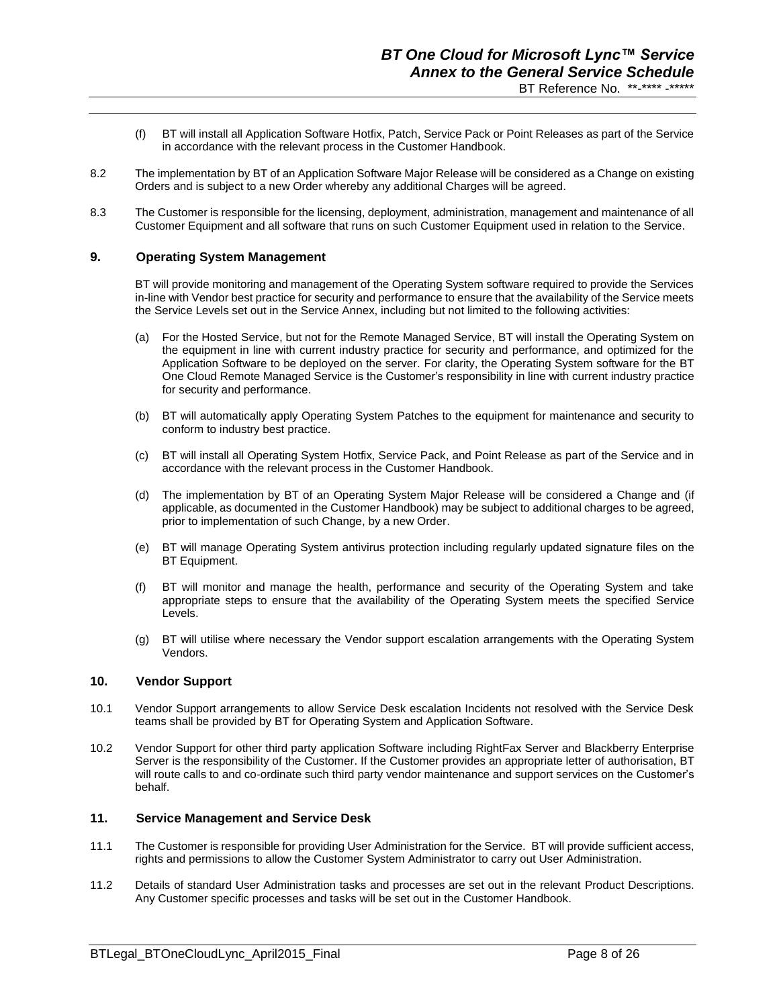- (f) BT will install all Application Software Hotfix, Patch, Service Pack or Point Releases as part of the Service in accordance with the relevant process in the Customer Handbook.
- 8.2 The implementation by BT of an Application Software Major Release will be considered as a Change on existing Orders and is subject to a new Order whereby any additional Charges will be agreed.
- 8.3 The Customer is responsible for the licensing, deployment, administration, management and maintenance of all Customer Equipment and all software that runs on such Customer Equipment used in relation to the Service.

#### **9. Operating System Management**

BT will provide monitoring and management of the Operating System software required to provide the Services in-line with Vendor best practice for security and performance to ensure that the availability of the Service meets the Service Levels set out in the Service Annex, including but not limited to the following activities:

- (a) For the Hosted Service, but not for the Remote Managed Service, BT will install the Operating System on the equipment in line with current industry practice for security and performance, and optimized for the Application Software to be deployed on the server. For clarity, the Operating System software for the BT One Cloud Remote Managed Service is the Customer's responsibility in line with current industry practice for security and performance.
- (b) BT will automatically apply Operating System Patches to the equipment for maintenance and security to conform to industry best practice.
- (c) BT will install all Operating System Hotfix, Service Pack, and Point Release as part of the Service and in accordance with the relevant process in the Customer Handbook.
- (d) The implementation by BT of an Operating System Major Release will be considered a Change and (if applicable, as documented in the Customer Handbook) may be subject to additional charges to be agreed, prior to implementation of such Change, by a new Order.
- (e) BT will manage Operating System antivirus protection including regularly updated signature files on the BT Equipment.
- (f) BT will monitor and manage the health, performance and security of the Operating System and take appropriate steps to ensure that the availability of the Operating System meets the specified Service Levels.
- (g) BT will utilise where necessary the Vendor support escalation arrangements with the Operating System Vendors.

#### **10. Vendor Support**

- 10.1 Vendor Support arrangements to allow Service Desk escalation Incidents not resolved with the Service Desk teams shall be provided by BT for Operating System and Application Software.
- 10.2 Vendor Support for other third party application Software including RightFax Server and Blackberry Enterprise Server is the responsibility of the Customer. If the Customer provides an appropriate letter of authorisation, BT will route calls to and co-ordinate such third party vendor maintenance and support services on the Customer's behalf.

#### **11. Service Management and Service Desk**

- 11.1 The Customer is responsible for providing User Administration for the Service. BT will provide sufficient access, rights and permissions to allow the Customer System Administrator to carry out User Administration.
- 11.2 Details of standard User Administration tasks and processes are set out in the relevant Product Descriptions. Any Customer specific processes and tasks will be set out in the Customer Handbook.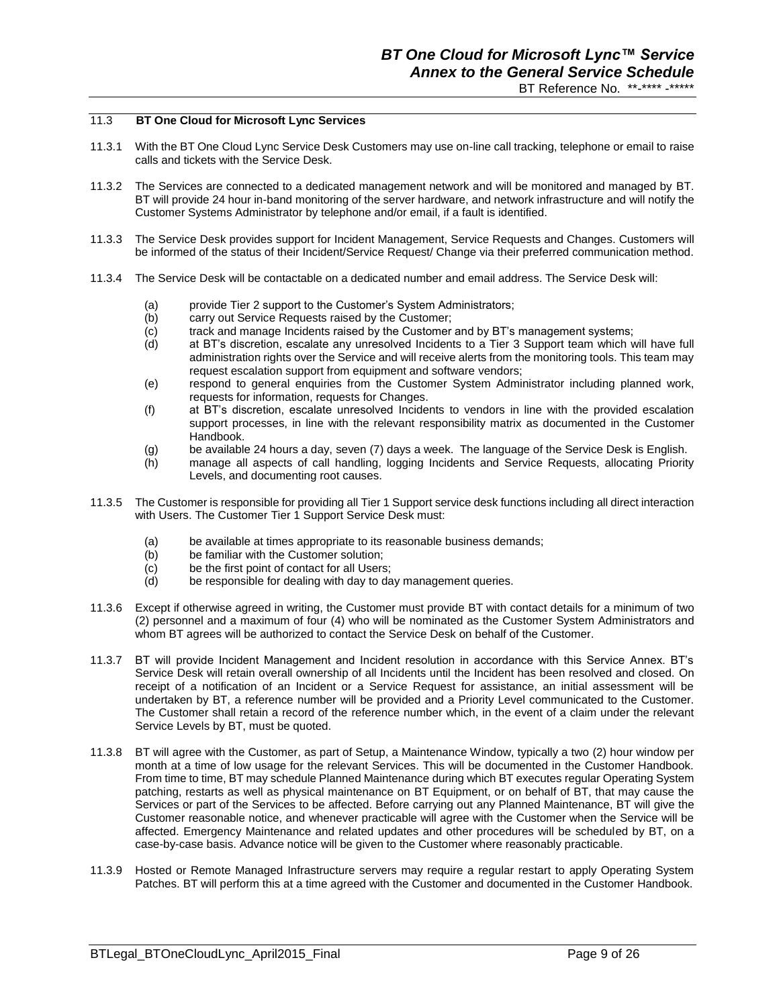#### 11.3 **BT One Cloud for Microsoft Lync Services**

- 11.3.1 With the BT One Cloud Lync Service Desk Customers may use on-line call tracking, telephone or email to raise calls and tickets with the Service Desk.
- 11.3.2 The Services are connected to a dedicated management network and will be monitored and managed by BT. BT will provide 24 hour in-band monitoring of the server hardware, and network infrastructure and will notify the Customer Systems Administrator by telephone and/or email, if a fault is identified.
- 11.3.3 The Service Desk provides support for Incident Management, Service Requests and Changes. Customers will be informed of the status of their Incident/Service Request/ Change via their preferred communication method.
- 11.3.4 The Service Desk will be contactable on a dedicated number and email address. The Service Desk will:
	- (a) provide Tier 2 support to the Customer's System Administrators;
	- (b) carry out Service Requests raised by the Customer;
	- (c) track and manage Incidents raised by the Customer and by BT's management systems;
	- (d) at BT's discretion, escalate any unresolved Incidents to a Tier 3 Support team which will have full administration rights over the Service and will receive alerts from the monitoring tools. This team may request escalation support from equipment and software vendors;
	- (e) respond to general enquiries from the Customer System Administrator including planned work, requests for information, requests for Changes.
	- (f) at BT's discretion, escalate unresolved Incidents to vendors in line with the provided escalation support processes, in line with the relevant responsibility matrix as documented in the Customer Handbook.
	- (g) be available 24 hours a day, seven (7) days a week. The language of the Service Desk is English.
	- (h) manage all aspects of call handling, logging Incidents and Service Requests, allocating Priority Levels, and documenting root causes.
- 11.3.5 The Customer is responsible for providing all Tier 1 Support service desk functions including all direct interaction with Users. The Customer Tier 1 Support Service Desk must:
	- (a) be available at times appropriate to its reasonable business demands;
	- (b) be familiar with the Customer solution:
	- (c) be the first point of contact for all Users;
	- (d) be responsible for dealing with day to day management queries.
- 11.3.6 Except if otherwise agreed in writing, the Customer must provide BT with contact details for a minimum of two (2) personnel and a maximum of four (4) who will be nominated as the Customer System Administrators and whom BT agrees will be authorized to contact the Service Desk on behalf of the Customer.
- 11.3.7 BT will provide Incident Management and Incident resolution in accordance with this Service Annex. BT's Service Desk will retain overall ownership of all Incidents until the Incident has been resolved and closed. On receipt of a notification of an Incident or a Service Request for assistance, an initial assessment will be undertaken by BT, a reference number will be provided and a Priority Level communicated to the Customer. The Customer shall retain a record of the reference number which, in the event of a claim under the relevant Service Levels by BT, must be quoted.
- 11.3.8 BT will agree with the Customer, as part of Setup, a Maintenance Window, typically a two (2) hour window per month at a time of low usage for the relevant Services. This will be documented in the Customer Handbook. From time to time, BT may schedule Planned Maintenance during which BT executes regular Operating System patching, restarts as well as physical maintenance on BT Equipment, or on behalf of BT, that may cause the Services or part of the Services to be affected. Before carrying out any Planned Maintenance, BT will give the Customer reasonable notice, and whenever practicable will agree with the Customer when the Service will be affected. Emergency Maintenance and related updates and other procedures will be scheduled by BT, on a case-by-case basis. Advance notice will be given to the Customer where reasonably practicable.
- 11.3.9 Hosted or Remote Managed Infrastructure servers may require a regular restart to apply Operating System Patches. BT will perform this at a time agreed with the Customer and documented in the Customer Handbook.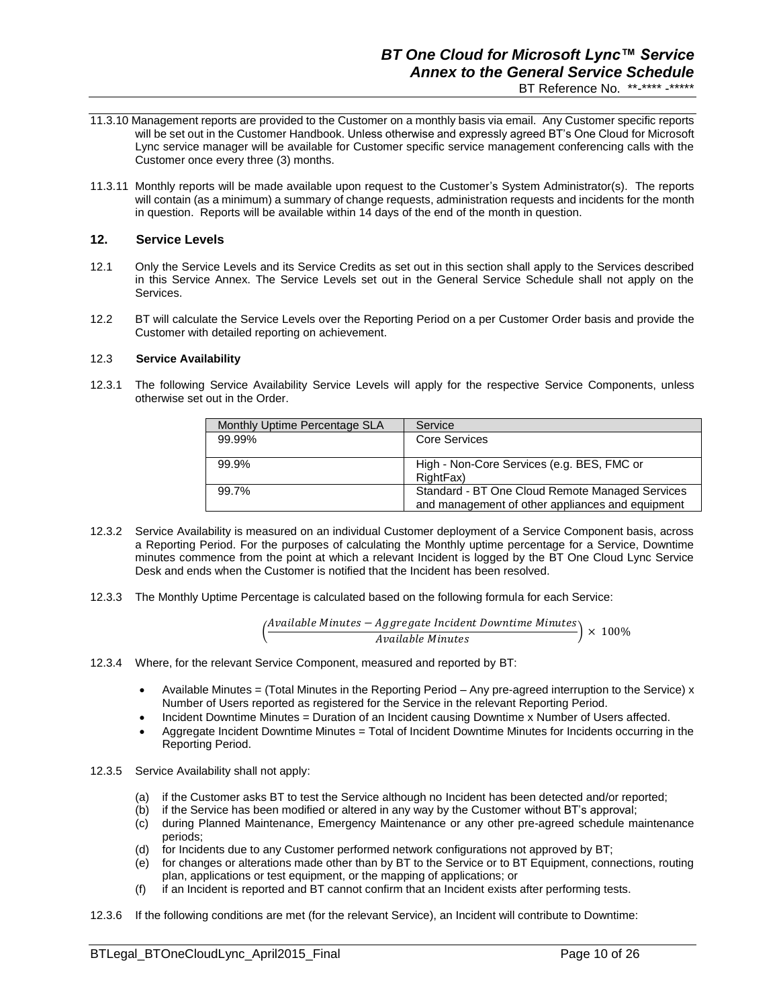## *BT One Cloud for Microsoft Lync™ Service Annex to the General Service Schedule* BT Reference No. \*\*-\*\*\*\* -\*\*\*\*\*

- 11.3.10 Management reports are provided to the Customer on a monthly basis via email. Any Customer specific reports will be set out in the Customer Handbook. Unless otherwise and expressly agreed BT's One Cloud for Microsoft Lync service manager will be available for Customer specific service management conferencing calls with the Customer once every three (3) months.
- 11.3.11 Monthly reports will be made available upon request to the Customer's System Administrator(s). The reports will contain (as a minimum) a summary of change requests, administration requests and incidents for the month in question. Reports will be available within 14 days of the end of the month in question.

## **12. Service Levels**

- 12.1 Only the Service Levels and its Service Credits as set out in this section shall apply to the Services described in this Service Annex. The Service Levels set out in the General Service Schedule shall not apply on the **Services**
- 12.2 BT will calculate the Service Levels over the Reporting Period on a per Customer Order basis and provide the Customer with detailed reporting on achievement.

#### 12.3 **Service Availability**

12.3.1 The following Service Availability Service Levels will apply for the respective Service Components, unless otherwise set out in the Order.

| Monthly Uptime Percentage SLA | Service                                          |
|-------------------------------|--------------------------------------------------|
| 99.99%                        | Core Services                                    |
|                               |                                                  |
| 99.9%                         | High - Non-Core Services (e.g. BES, FMC or       |
|                               | RightFax)                                        |
| 99.7%                         | Standard - BT One Cloud Remote Managed Services  |
|                               | and management of other appliances and equipment |

- 12.3.2 Service Availability is measured on an individual Customer deployment of a Service Component basis, across a Reporting Period. For the purposes of calculating the Monthly uptime percentage for a Service, Downtime minutes commence from the point at which a relevant Incident is logged by the BT One Cloud Lync Service Desk and ends when the Customer is notified that the Incident has been resolved.
- 12.3.3 The Monthly Uptime Percentage is calculated based on the following formula for each Service:

$$
\left(\frac{Available\,Minutes-Aggregate\,Incident\,Dovntime\,Minutes}{Available\,Minutes}\right)\times 100\%
$$

- 12.3.4 Where, for the relevant Service Component, measured and reported by BT:
	- Available Minutes = (Total Minutes in the Reporting Period Any pre-agreed interruption to the Service) x Number of Users reported as registered for the Service in the relevant Reporting Period.
	- Incident Downtime Minutes = Duration of an Incident causing Downtime x Number of Users affected.
	- Aggregate Incident Downtime Minutes = Total of Incident Downtime Minutes for Incidents occurring in the Reporting Period.
- 12.3.5 Service Availability shall not apply:
	- (a) if the Customer asks BT to test the Service although no Incident has been detected and/or reported;
	- (b) if the Service has been modified or altered in any way by the Customer without BT's approval;
	- (c) during Planned Maintenance, Emergency Maintenance or any other pre-agreed schedule maintenance periods;
	- (d) for Incidents due to any Customer performed network configurations not approved by BT;
	- (e) for changes or alterations made other than by BT to the Service or to BT Equipment, connections, routing plan, applications or test equipment, or the mapping of applications; or
	- (f) if an Incident is reported and BT cannot confirm that an Incident exists after performing tests.
- 12.3.6 If the following conditions are met (for the relevant Service), an Incident will contribute to Downtime: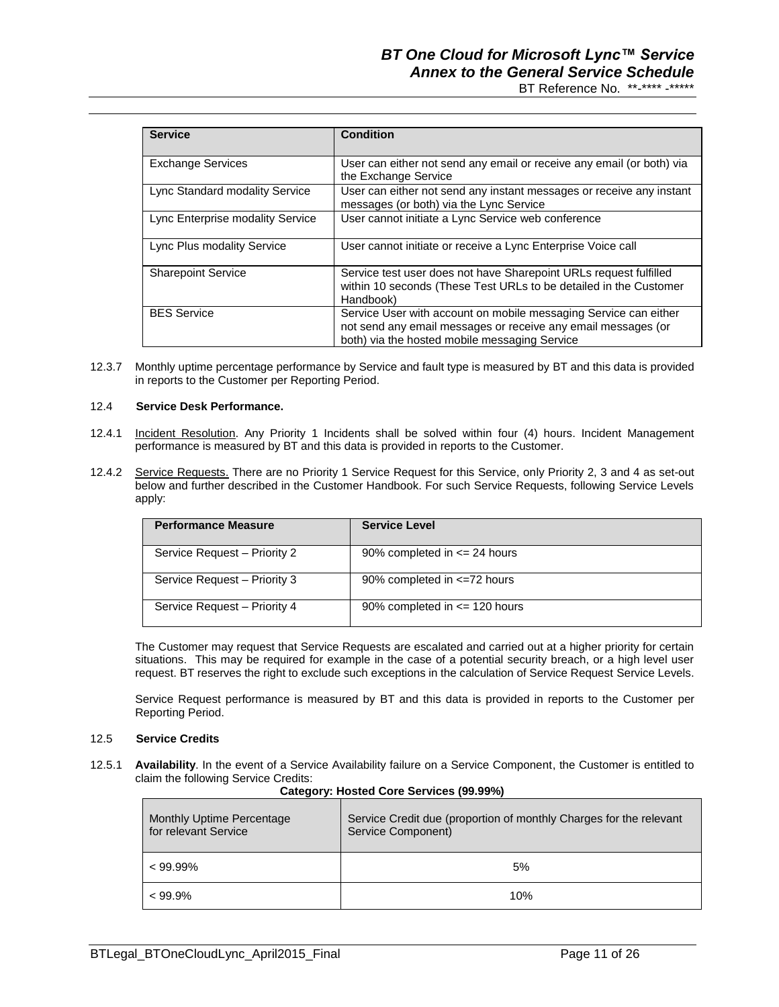# *BT One Cloud for Microsoft Lync™ Service Annex to the General Service Schedule*

BT Reference No. \*\*-\*\*\*\* -\*\*\*\*\*

| <b>Service</b>                   | <b>Condition</b>                                                                                                                                                                   |
|----------------------------------|------------------------------------------------------------------------------------------------------------------------------------------------------------------------------------|
| <b>Exchange Services</b>         | User can either not send any email or receive any email (or both) via<br>the Exchange Service                                                                                      |
| Lync Standard modality Service   | User can either not send any instant messages or receive any instant<br>messages (or both) via the Lync Service                                                                    |
| Lync Enterprise modality Service | User cannot initiate a Lync Service web conference                                                                                                                                 |
| Lync Plus modality Service       | User cannot initiate or receive a Lync Enterprise Voice call                                                                                                                       |
| <b>Sharepoint Service</b>        | Service test user does not have Sharepoint URLs request fulfilled<br>within 10 seconds (These Test URLs to be detailed in the Customer<br>Handbook)                                |
| <b>BES Service</b>               | Service User with account on mobile messaging Service can either<br>not send any email messages or receive any email messages (or<br>both) via the hosted mobile messaging Service |

12.3.7 Monthly uptime percentage performance by Service and fault type is measured by BT and this data is provided in reports to the Customer per Reporting Period.

#### 12.4 **Service Desk Performance.**

- 12.4.1 Incident Resolution. Any Priority 1 Incidents shall be solved within four (4) hours. Incident Management performance is measured by BT and this data is provided in reports to the Customer.
- 12.4.2 Service Requests. There are no Priority 1 Service Request for this Service, only Priority 2, 3 and 4 as set-out below and further described in the Customer Handbook. For such Service Requests, following Service Levels apply:

| <b>Performance Measure</b>   | <b>Service Level</b>              |
|------------------------------|-----------------------------------|
| Service Request - Priority 2 | 90% completed in $\leq$ 24 hours  |
| Service Request - Priority 3 | 90% completed in $\leq$ =72 hours |
| Service Request - Priority 4 | 90% completed in $\leq$ 120 hours |

The Customer may request that Service Requests are escalated and carried out at a higher priority for certain situations. This may be required for example in the case of a potential security breach, or a high level user request. BT reserves the right to exclude such exceptions in the calculation of Service Request Service Levels.

Service Request performance is measured by BT and this data is provided in reports to the Customer per Reporting Period.

#### 12.5 **Service Credits**

12.5.1 **Availability**. In the event of a Service Availability failure on a Service Component, the Customer is entitled to claim the following Service Credits:

| Monthly Uptime Percentage<br>for relevant Service | Calegory. Hosted Core Services (33.3376)<br>Service Credit due (proportion of monthly Charges for the relevant<br>Service Component) |
|---------------------------------------------------|--------------------------------------------------------------------------------------------------------------------------------------|
| $< 99.99\%$                                       | 5%                                                                                                                                   |
| $< 99.9\%$                                        | 10%                                                                                                                                  |

## **Category: Hosted Core Services (99.99%)**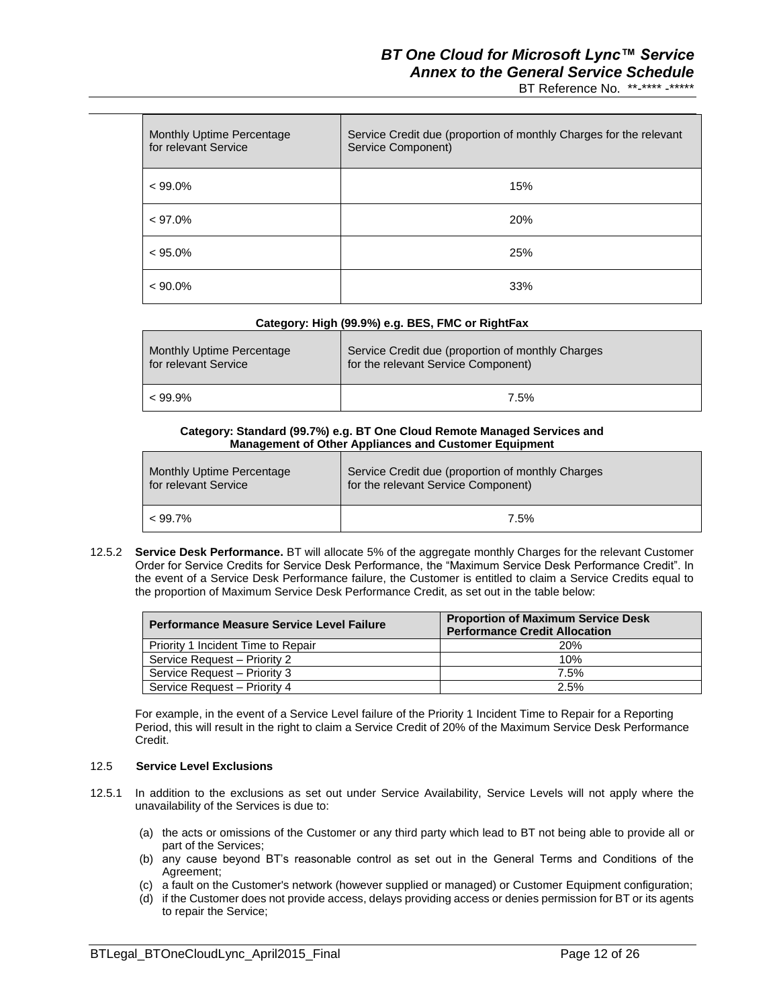## *BT One Cloud for Microsoft Lync™ Service Annex to the General Service Schedule*

BT Reference No. \*\*-\*\*\*\* -\*\*\*\*\*

| Monthly Uptime Percentage<br>for relevant Service | Service Credit due (proportion of monthly Charges for the relevant<br>Service Component) |
|---------------------------------------------------|------------------------------------------------------------------------------------------|
| $< 99.0\%$                                        | 15%                                                                                      |
| $< 97.0\%$                                        | <b>20%</b>                                                                               |
| $< 95.0\%$                                        | 25%                                                                                      |
| $< 90.0\%$                                        | 33%                                                                                      |

## **Category: High (99.9%) e.g. BES, FMC or RightFax**

| Monthly Uptime Percentage | Service Credit due (proportion of monthly Charges |
|---------------------------|---------------------------------------------------|
| for relevant Service      | for the relevant Service Component)               |
| $< 99.9\%$                | 7.5%                                              |

#### **Category: Standard (99.7%) e.g. BT One Cloud Remote Managed Services and Management of Other Appliances and Customer Equipment**

| Monthly Uptime Percentage | Service Credit due (proportion of monthly Charges |
|---------------------------|---------------------------------------------------|
| for relevant Service      | for the relevant Service Component)               |
| $< 99.7\%$                | 7.5%                                              |

12.5.2 **Service Desk Performance.** BT will allocate 5% of the aggregate monthly Charges for the relevant Customer Order for Service Credits for Service Desk Performance, the "Maximum Service Desk Performance Credit". In the event of a Service Desk Performance failure, the Customer is entitled to claim a Service Credits equal to the proportion of Maximum Service Desk Performance Credit, as set out in the table below:

| <b>Performance Measure Service Level Failure</b> | <b>Proportion of Maximum Service Desk</b><br><b>Performance Credit Allocation</b> |
|--------------------------------------------------|-----------------------------------------------------------------------------------|
| Priority 1 Incident Time to Repair               | <b>20%</b>                                                                        |
| Service Request - Priority 2                     | 10%                                                                               |
| Service Request - Priority 3                     | 7.5%                                                                              |
| Service Request - Priority 4                     | 2.5%                                                                              |

For example, in the event of a Service Level failure of the Priority 1 Incident Time to Repair for a Reporting Period, this will result in the right to claim a Service Credit of 20% of the Maximum Service Desk Performance Credit.

#### 12.5 **Service Level Exclusions**

- 12.5.1 In addition to the exclusions as set out under Service Availability, Service Levels will not apply where the unavailability of the Services is due to:
	- (a) the acts or omissions of the Customer or any third party which lead to BT not being able to provide all or part of the Services;
	- (b) any cause beyond BT's reasonable control as set out in the General Terms and Conditions of the Agreement;
	- (c) a fault on the Customer's network (however supplied or managed) or Customer Equipment configuration;
	- (d) if the Customer does not provide access, delays providing access or denies permission for BT or its agents to repair the Service;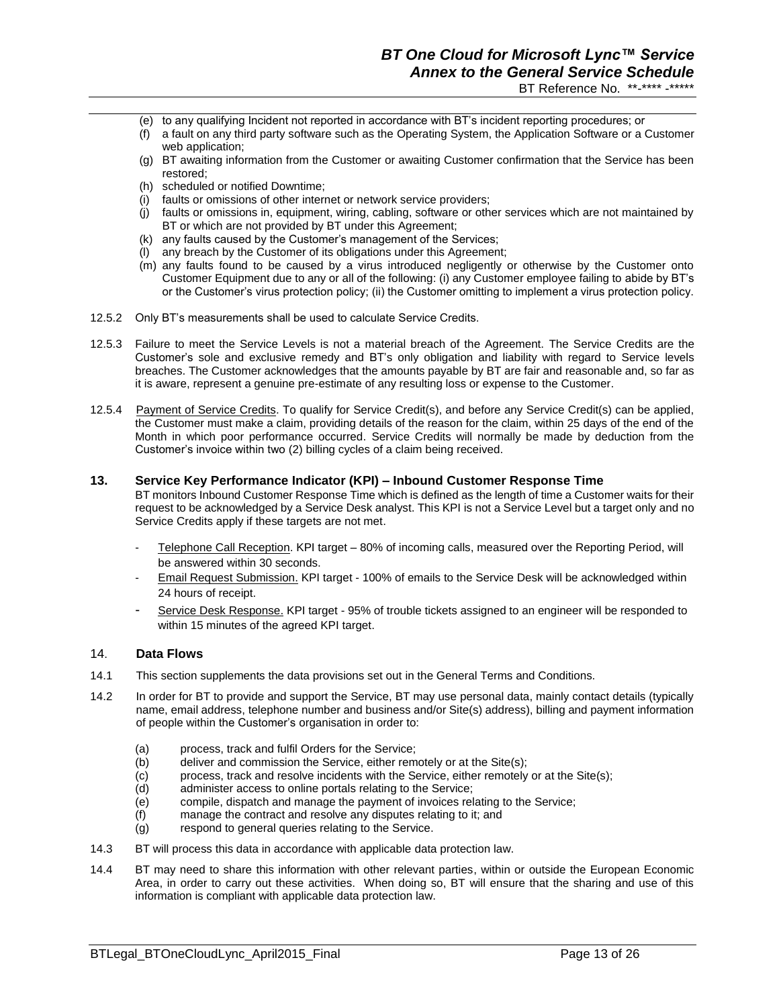- (e) to any qualifying Incident not reported in accordance with BT's incident reporting procedures; or
- (f) a fault on any third party software such as the Operating System, the Application Software or a Customer web application;
- (g) BT awaiting information from the Customer or awaiting Customer confirmation that the Service has been restored;
- (h) scheduled or notified Downtime;
- (i) faults or omissions of other internet or network service providers;
- (j) faults or omissions in, equipment, wiring, cabling, software or other services which are not maintained by BT or which are not provided by BT under this Agreement;
- (k) any faults caused by the Customer's management of the Services;
- (l) any breach by the Customer of its obligations under this Agreement;
- (m) any faults found to be caused by a virus introduced negligently or otherwise by the Customer onto Customer Equipment due to any or all of the following: (i) any Customer employee failing to abide by BT's or the Customer's virus protection policy; (ii) the Customer omitting to implement a virus protection policy.
- 12.5.2 Only BT's measurements shall be used to calculate Service Credits.
- 12.5.3 Failure to meet the Service Levels is not a material breach of the Agreement. The Service Credits are the Customer's sole and exclusive remedy and BT's only obligation and liability with regard to Service levels breaches. The Customer acknowledges that the amounts payable by BT are fair and reasonable and, so far as it is aware, represent a genuine pre-estimate of any resulting loss or expense to the Customer.
- 12.5.4 Payment of Service Credits. To qualify for Service Credit(s), and before any Service Credit(s) can be applied, the Customer must make a claim, providing details of the reason for the claim, within 25 days of the end of the Month in which poor performance occurred. Service Credits will normally be made by deduction from the Customer's invoice within two (2) billing cycles of a claim being received.

#### **13. Service Key Performance Indicator (KPI) – Inbound Customer Response Time**

BT monitors Inbound Customer Response Time which is defined as the length of time a Customer waits for their request to be acknowledged by a Service Desk analyst. This KPI is not a Service Level but a target only and no Service Credits apply if these targets are not met.

- Telephone Call Reception. KPI target 80% of incoming calls, measured over the Reporting Period, will be answered within 30 seconds.
- Email Request Submission. KPI target 100% of emails to the Service Desk will be acknowledged within 24 hours of receipt.
- Service Desk Response. KPI target 95% of trouble tickets assigned to an engineer will be responded to within 15 minutes of the agreed KPI target.

#### 14. **Data Flows**

- 14.1 This section supplements the data provisions set out in the General Terms and Conditions.
- 14.2 In order for BT to provide and support the Service, BT may use personal data, mainly contact details (typically name, email address, telephone number and business and/or Site(s) address), billing and payment information of people within the Customer's organisation in order to:
	- (a) process, track and fulfil Orders for the Service;
	- (b) deliver and commission the Service, either remotely or at the Site(s);
	- (c) process, track and resolve incidents with the Service, either remotely or at the Site(s);
	- (d) administer access to online portals relating to the Service;
	- (e) compile, dispatch and manage the payment of invoices relating to the Service;
	- (f) manage the contract and resolve any disputes relating to it; and
	- (g) respond to general queries relating to the Service.
- 14.3 BT will process this data in accordance with applicable data protection law.
- 14.4 BT may need to share this information with other relevant parties, within or outside the European Economic Area, in order to carry out these activities. When doing so, BT will ensure that the sharing and use of this information is compliant with applicable data protection law.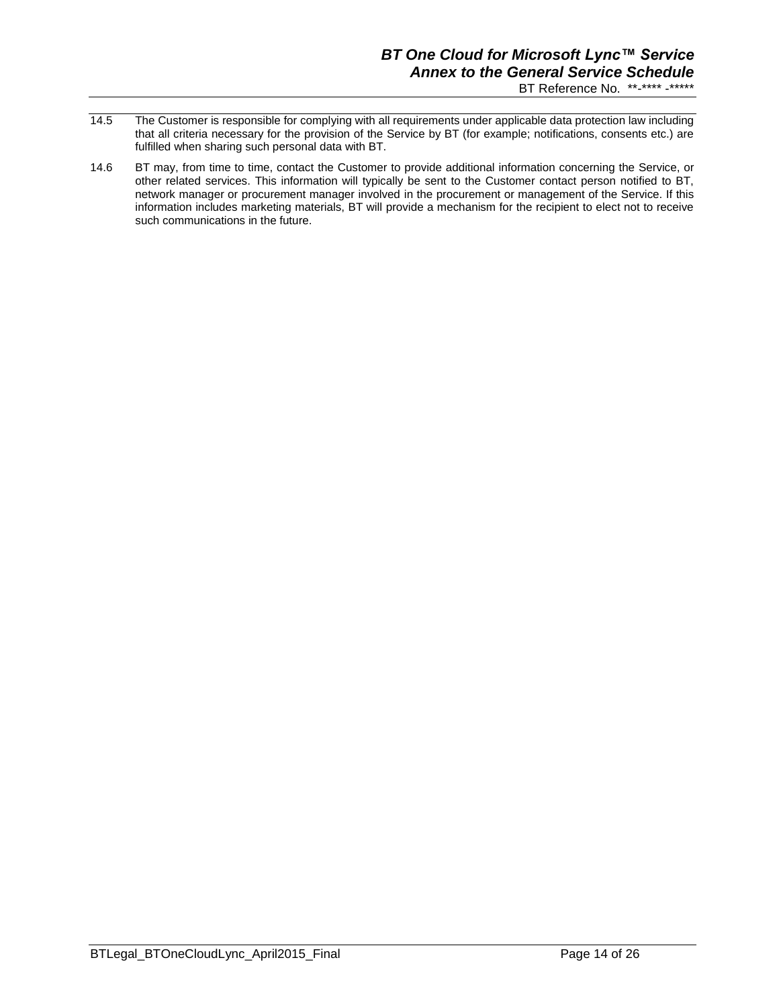# *BT One Cloud for Microsoft Lync™ Service Annex to the General Service Schedule*

- BT Reference No. \*\*-\*\*\*\* -\*\*\*\*\*
- 14.5 The Customer is responsible for complying with all requirements under applicable data protection law including that all criteria necessary for the provision of the Service by BT (for example; notifications, consents etc.) are fulfilled when sharing such personal data with BT.
- 14.6 BT may, from time to time, contact the Customer to provide additional information concerning the Service, or other related services. This information will typically be sent to the Customer contact person notified to BT, network manager or procurement manager involved in the procurement or management of the Service. If this information includes marketing materials, BT will provide a mechanism for the recipient to elect not to receive such communications in the future.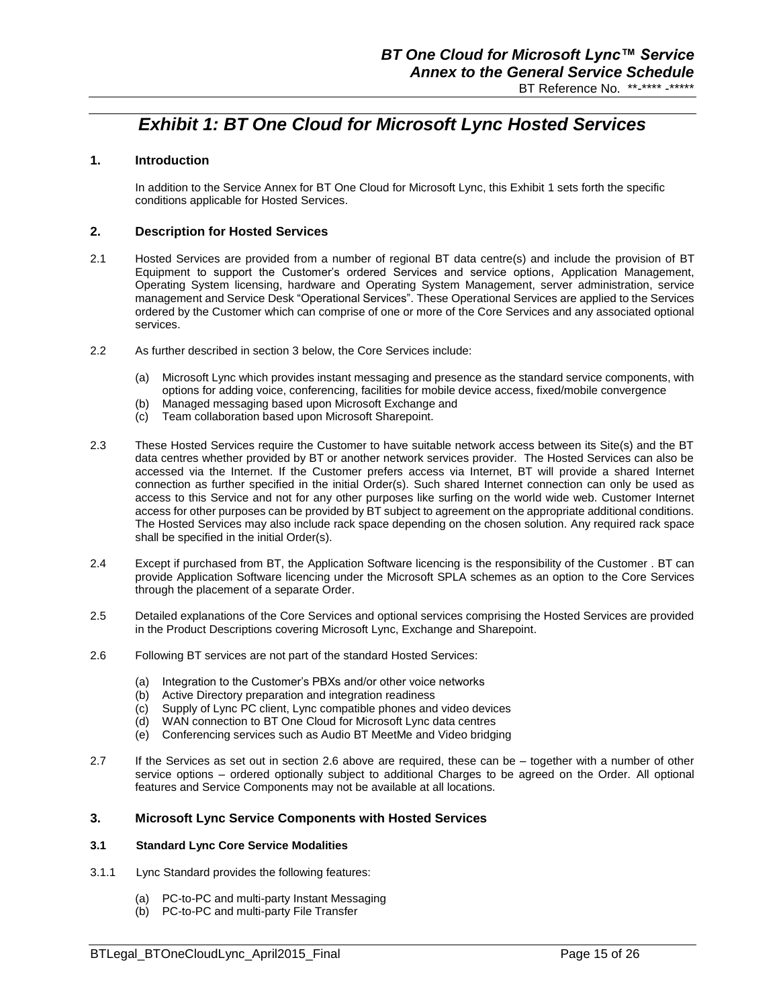# *Exhibit 1: BT One Cloud for Microsoft Lync Hosted Services*

## **1. Introduction**

In addition to the Service Annex for BT One Cloud for Microsoft Lync, this Exhibit 1 sets forth the specific conditions applicable for Hosted Services.

#### **2. Description for Hosted Services**

- 2.1 Hosted Services are provided from a number of regional BT data centre(s) and include the provision of BT Equipment to support the Customer's ordered Services and service options, Application Management, Operating System licensing, hardware and Operating System Management, server administration, service management and Service Desk "Operational Services". These Operational Services are applied to the Services ordered by the Customer which can comprise of one or more of the Core Services and any associated optional services.
- 2.2 As further described in section 3 below, the Core Services include:
	- (a) Microsoft Lync which provides instant messaging and presence as the standard service components, with options for adding voice, conferencing, facilities for mobile device access, fixed/mobile convergence
	- (b) Managed messaging based upon Microsoft Exchange and
	- (c) Team collaboration based upon Microsoft Sharepoint.
- 2.3 These Hosted Services require the Customer to have suitable network access between its Site(s) and the BT data centres whether provided by BT or another network services provider. The Hosted Services can also be accessed via the Internet. If the Customer prefers access via Internet, BT will provide a shared Internet connection as further specified in the initial Order(s). Such shared Internet connection can only be used as access to this Service and not for any other purposes like surfing on the world wide web. Customer Internet access for other purposes can be provided by BT subject to agreement on the appropriate additional conditions. The Hosted Services may also include rack space depending on the chosen solution. Any required rack space shall be specified in the initial Order(s).
- 2.4 Except if purchased from BT, the Application Software licencing is the responsibility of the Customer . BT can provide Application Software licencing under the Microsoft SPLA schemes as an option to the Core Services through the placement of a separate Order.
- 2.5 Detailed explanations of the Core Services and optional services comprising the Hosted Services are provided in the Product Descriptions covering Microsoft Lync, Exchange and Sharepoint.
- 2.6 Following BT services are not part of the standard Hosted Services:
	- (a) Integration to the Customer's PBXs and/or other voice networks
	- (b) Active Directory preparation and integration readiness
	- (c) Supply of Lync PC client, Lync compatible phones and video devices
	- (d) WAN connection to BT One Cloud for Microsoft Lync data centres
	- (e) Conferencing services such as Audio BT MeetMe and Video bridging
- 2.7 If the Services as set out in section 2.6 above are required, these can be together with a number of other service options – ordered optionally subject to additional Charges to be agreed on the Order. All optional features and Service Components may not be available at all locations.

## **3. Microsoft Lync Service Components with Hosted Services**

## **3.1 Standard Lync Core Service Modalities**

- 3.1.1 Lync Standard provides the following features:
	- (a) PC-to-PC and multi-party Instant Messaging
	- (b) PC-to-PC and multi-party File Transfer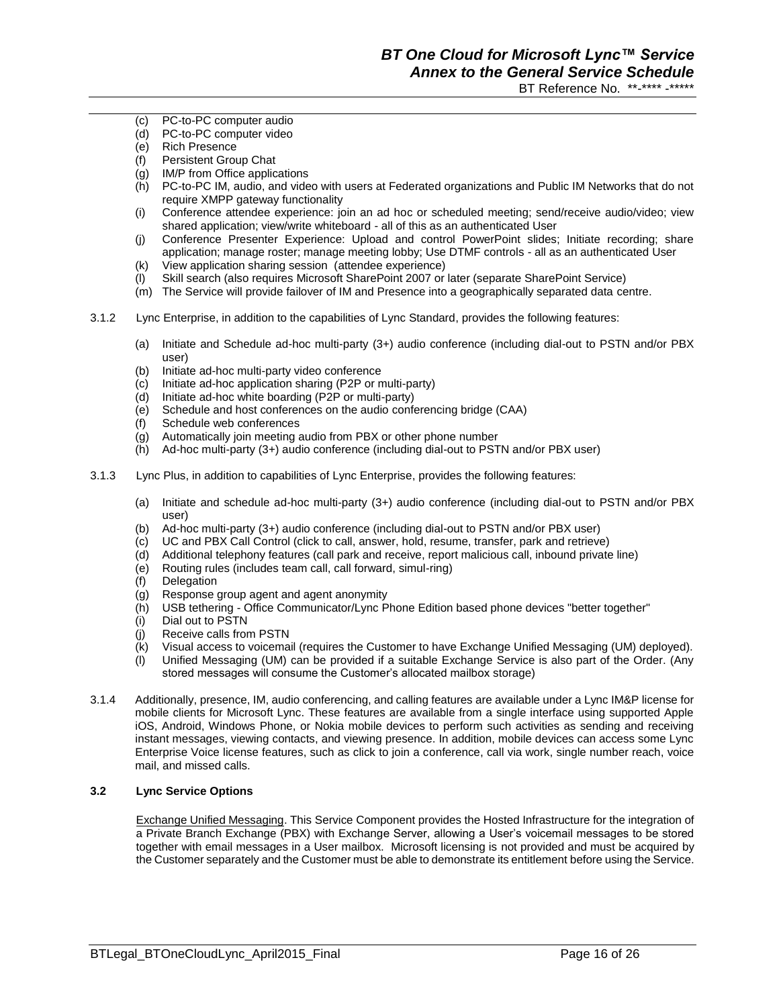- PC-to-PC computer audio
- PC-to-PC computer video
- (e) Rich Presence
- (f) Persistent Group Chat
- (g) IM/P from Office applications
- (h) PC-to-PC IM, audio, and video with users at Federated organizations and Public IM Networks that do not require XMPP gateway functionality
- (i) Conference attendee experience: join an ad hoc or scheduled meeting; send/receive audio/video; view shared application; view/write whiteboard - all of this as an authenticated User
- (j) Conference Presenter Experience: Upload and control PowerPoint slides; Initiate recording; share application; manage roster; manage meeting lobby; Use DTMF controls - all as an authenticated User
- (k) View application sharing session (attendee experience)
- (l) Skill search (also requires Microsoft SharePoint 2007 or later (separate SharePoint Service)
- (m) The Service will provide failover of IM and Presence into a geographically separated data centre.
- 3.1.2 Lync Enterprise, in addition to the capabilities of Lync Standard, provides the following features:
	- (a) Initiate and Schedule ad-hoc multi-party (3+) audio conference (including dial-out to PSTN and/or PBX user)
	- (b) Initiate ad-hoc multi-party video conference
	- (c) Initiate ad-hoc application sharing (P2P or multi-party)
	- (d) Initiate ad-hoc white boarding (P2P or multi-party)
	- (e) Schedule and host conferences on the audio conferencing bridge (CAA)
	- (f) Schedule web conferences
	- (g) Automatically join meeting audio from PBX or other phone number
	- (h) Ad-hoc multi-party (3+) audio conference (including dial-out to PSTN and/or PBX user)
- 3.1.3 Lync Plus, in addition to capabilities of Lync Enterprise, provides the following features:
	- (a) Initiate and schedule ad-hoc multi-party (3+) audio conference (including dial-out to PSTN and/or PBX user)
	- (b) Ad-hoc multi-party (3+) audio conference (including dial-out to PSTN and/or PBX user)
	- (c) UC and PBX Call Control (click to call, answer, hold, resume, transfer, park and retrieve)
	- (d) Additional telephony features (call park and receive, report malicious call, inbound private line)
	- (e) Routing rules (includes team call, call forward, simul-ring)
	- (f) Delegation
	- (g) Response group agent and agent anonymity
	- (h) USB tethering Office Communicator/Lync Phone Edition based phone devices "better together"
	- (i) Dial out to PSTN
	- (j) Receive calls from PSTN
	- (k) Visual access to voicemail (requires the Customer to have Exchange Unified Messaging (UM) deployed).
	- (l) Unified Messaging (UM) can be provided if a suitable Exchange Service is also part of the Order. (Any stored messages will consume the Customer's allocated mailbox storage)
- 3.1.4 Additionally, presence, IM, audio conferencing, and calling features are available under a Lync IM&P license for mobile clients for Microsoft Lync. These features are available from a single interface using supported Apple iOS, Android, Windows Phone, or Nokia mobile devices to perform such activities as sending and receiving instant messages, viewing contacts, and viewing presence. In addition, mobile devices can access some Lync Enterprise Voice license features, such as click to join a conference, call via work, single number reach, voice mail, and missed calls.

## **3.2 Lync Service Options**

Exchange Unified Messaging. This Service Component provides the Hosted Infrastructure for the integration of a Private Branch Exchange (PBX) with Exchange Server, allowing a User's voicemail messages to be stored together with email messages in a User mailbox. Microsoft licensing is not provided and must be acquired by the Customer separately and the Customer must be able to demonstrate its entitlement before using the Service.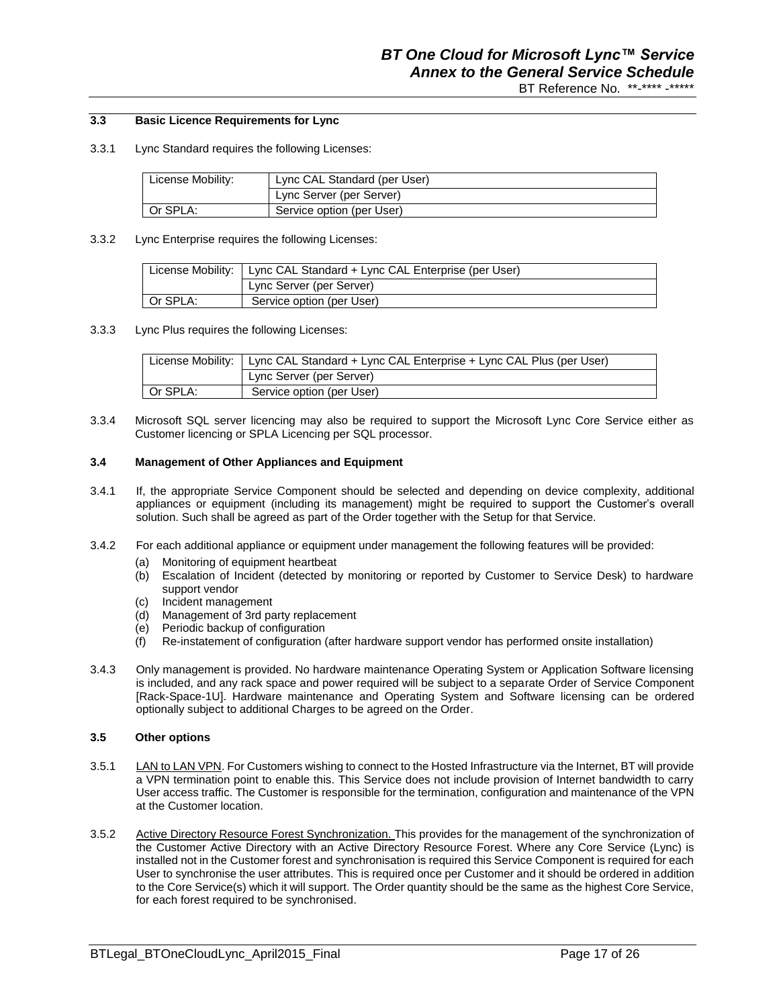## **3.3 Basic Licence Requirements for Lync**

3.3.1 Lync Standard requires the following Licenses:

| License Mobility: | Lync CAL Standard (per User) |
|-------------------|------------------------------|
|                   | Lync Server (per Server)     |
| Or SPLA:          | Service option (per User)    |

3.3.2 Lync Enterprise requires the following Licenses:

|          | License Mobility:   Lync CAL Standard + Lync CAL Enterprise (per User) |  |
|----------|------------------------------------------------------------------------|--|
|          | Lync Server (per Server)                                               |  |
| Or SPLA: | Service option (per User)                                              |  |

3.3.3 Lync Plus requires the following Licenses:

| License Mobility: I | Lync CAL Standard + Lync CAL Enterprise + Lync CAL Plus (per User) |  |  |  |
|---------------------|--------------------------------------------------------------------|--|--|--|
|                     | Lync Server (per Server)                                           |  |  |  |
| Or SPLA:            | Service option (per User)                                          |  |  |  |

3.3.4 Microsoft SQL server licencing may also be required to support the Microsoft Lync Core Service either as Customer licencing or SPLA Licencing per SQL processor.

#### **3.4 Management of Other Appliances and Equipment**

- 3.4.1 If, the appropriate Service Component should be selected and depending on device complexity, additional appliances or equipment (including its management) might be required to support the Customer's overall solution. Such shall be agreed as part of the Order together with the Setup for that Service.
- 3.4.2 For each additional appliance or equipment under management the following features will be provided:
	- (a) Monitoring of equipment heartbeat
	- (b) Escalation of Incident (detected by monitoring or reported by Customer to Service Desk) to hardware support vendor
	- (c) Incident management
	- (d) Management of 3rd party replacement
	- (e) Periodic backup of configuration
	- (f) Re-instatement of configuration (after hardware support vendor has performed onsite installation)
- 3.4.3 Only management is provided. No hardware maintenance Operating System or Application Software licensing is included, and any rack space and power required will be subject to a separate Order of Service Component [Rack-Space-1U]. Hardware maintenance and Operating System and Software licensing can be ordered optionally subject to additional Charges to be agreed on the Order.

#### **3.5 Other options**

- 3.5.1 LAN to LAN VPN. For Customers wishing to connect to the Hosted Infrastructure via the Internet, BT will provide a VPN termination point to enable this. This Service does not include provision of Internet bandwidth to carry User access traffic. The Customer is responsible for the termination, configuration and maintenance of the VPN at the Customer location.
- 3.5.2 Active Directory Resource Forest Synchronization. This provides for the management of the synchronization of the Customer Active Directory with an Active Directory Resource Forest. Where any Core Service (Lync) is installed not in the Customer forest and synchronisation is required this Service Component is required for each User to synchronise the user attributes. This is required once per Customer and it should be ordered in addition to the Core Service(s) which it will support. The Order quantity should be the same as the highest Core Service, for each forest required to be synchronised.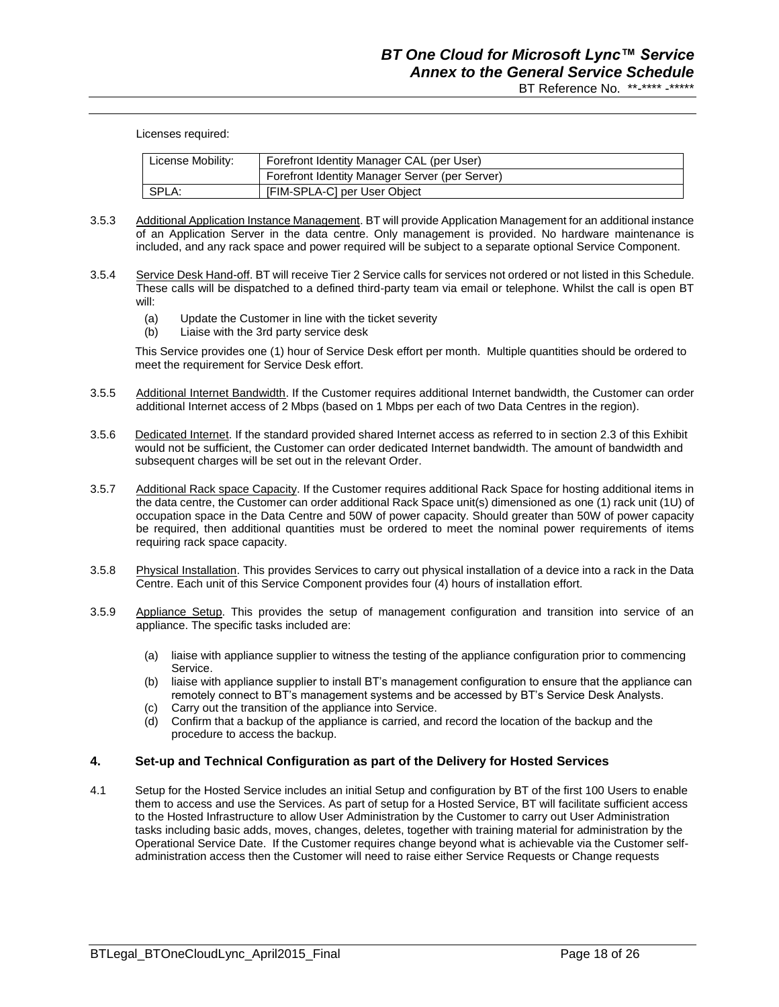Licenses required:

| License Mobility: | Forefront Identity Manager CAL (per User)      |  |  |  |
|-------------------|------------------------------------------------|--|--|--|
|                   | Forefront Identity Manager Server (per Server) |  |  |  |
| SPLA:             | [FIM-SPLA-C] per User Object                   |  |  |  |

- 3.5.3 Additional Application Instance Management. BT will provide Application Management for an additional instance of an Application Server in the data centre. Only management is provided. No hardware maintenance is included, and any rack space and power required will be subject to a separate optional Service Component.
- 3.5.4 Service Desk Hand-off. BT will receive Tier 2 Service calls for services not ordered or not listed in this Schedule. These calls will be dispatched to a defined third-party team via email or telephone. Whilst the call is open BT will:
	- (a) Update the Customer in line with the ticket severity
	- (b) Liaise with the 3rd party service desk

This Service provides one (1) hour of Service Desk effort per month. Multiple quantities should be ordered to meet the requirement for Service Desk effort.

- 3.5.5 Additional Internet Bandwidth. If the Customer requires additional Internet bandwidth, the Customer can order additional Internet access of 2 Mbps (based on 1 Mbps per each of two Data Centres in the region).
- 3.5.6 Dedicated Internet. If the standard provided shared Internet access as referred to in section 2.3 of this Exhibit would not be sufficient, the Customer can order dedicated Internet bandwidth. The amount of bandwidth and subsequent charges will be set out in the relevant Order.
- 3.5.7 Additional Rack space Capacity. If the Customer requires additional Rack Space for hosting additional items in the data centre, the Customer can order additional Rack Space unit(s) dimensioned as one (1) rack unit (1U) of occupation space in the Data Centre and 50W of power capacity. Should greater than 50W of power capacity be required, then additional quantities must be ordered to meet the nominal power requirements of items requiring rack space capacity.
- 3.5.8 Physical Installation. This provides Services to carry out physical installation of a device into a rack in the Data Centre. Each unit of this Service Component provides four (4) hours of installation effort.
- 3.5.9 Appliance Setup. This provides the setup of management configuration and transition into service of an appliance. The specific tasks included are:
	- (a) liaise with appliance supplier to witness the testing of the appliance configuration prior to commencing Service.
	- (b) liaise with appliance supplier to install BT's management configuration to ensure that the appliance can remotely connect to BT's management systems and be accessed by BT's Service Desk Analysts.
	- (c) Carry out the transition of the appliance into Service.
	- (d) Confirm that a backup of the appliance is carried, and record the location of the backup and the procedure to access the backup.

#### **4. Set-up and Technical Configuration as part of the Delivery for Hosted Services**

4.1 Setup for the Hosted Service includes an initial Setup and configuration by BT of the first 100 Users to enable them to access and use the Services. As part of setup for a Hosted Service, BT will facilitate sufficient access to the Hosted Infrastructure to allow User Administration by the Customer to carry out User Administration tasks including basic adds, moves, changes, deletes, together with training material for administration by the Operational Service Date. If the Customer requires change beyond what is achievable via the Customer selfadministration access then the Customer will need to raise either Service Requests or Change requests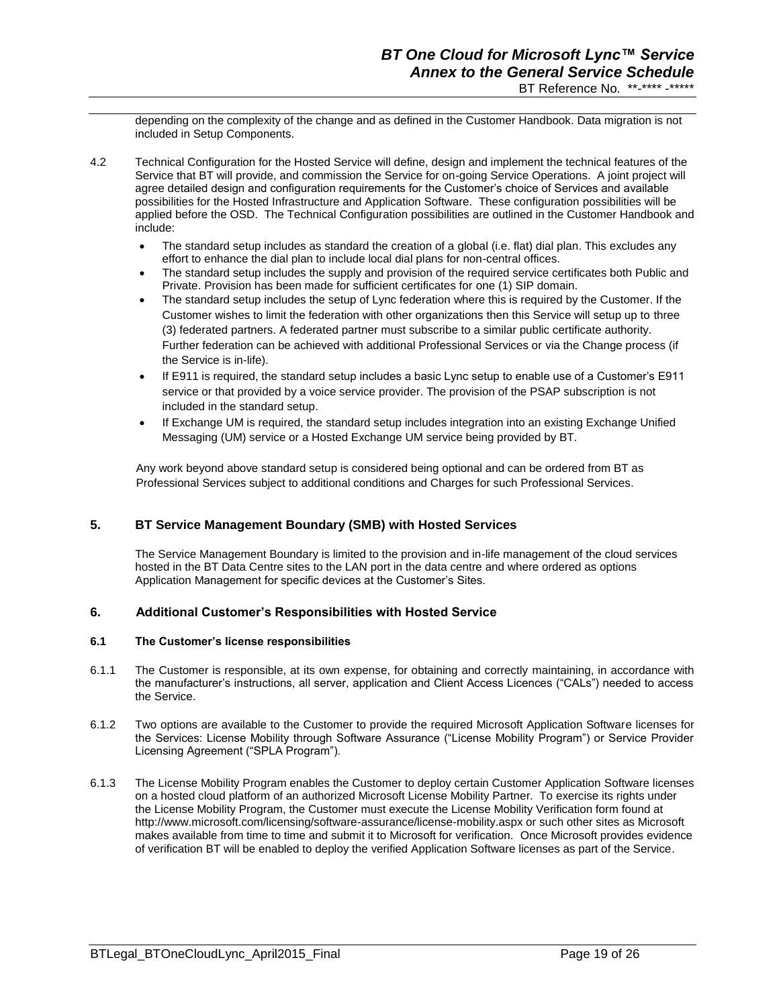depending on the complexity of the change and as defined in the Customer Handbook. Data migration is not included in Setup Components.

- 4.2 Technical Configuration for the Hosted Service will define, design and implement the technical features of the Service that BT will provide, and commission the Service for on-going Service Operations. A joint project will agree detailed design and configuration requirements for the Customer's choice of Services and available possibilities for the Hosted Infrastructure and Application Software. These configuration possibilities will be applied before the OSD. The Technical Configuration possibilities are outlined in the Customer Handbook and include:
	- The standard setup includes as standard the creation of a global (i.e. flat) dial plan. This excludes any effort to enhance the dial plan to include local dial plans for non-central offices.
	- The standard setup includes the supply and provision of the required service certificates both Public and Private. Provision has been made for sufficient certificates for one (1) SIP domain.
	- The standard setup includes the setup of Lync federation where this is required by the Customer. If the Customer wishes to limit the federation with other organizations then this Service will setup up to three (3) federated partners. A federated partner must subscribe to a similar public certificate authority. Further federation can be achieved with additional Professional Services or via the Change process (if the Service is in-life).
	- If E911 is required, the standard setup includes a basic Lync setup to enable use of a Customer's E911 service or that provided by a voice service provider. The provision of the PSAP subscription is not included in the standard setup.
	- If Exchange UM is required, the standard setup includes integration into an existing Exchange Unified Messaging (UM) service or a Hosted Exchange UM service being provided by BT.

Any work beyond above standard setup is considered being optional and can be ordered from BT as Professional Services subject to additional conditions and Charges for such Professional Services.

## **5. BT Service Management Boundary (SMB) with Hosted Services**

The Service Management Boundary is limited to the provision and in-life management of the cloud services hosted in the BT Data Centre sites to the LAN port in the data centre and where ordered as options Application Management for specific devices at the Customer's Sites.

## **6. Additional Customer's Responsibilities with Hosted Service**

#### **6.1 The Customer's license responsibilities**

- 6.1.1 The Customer is responsible, at its own expense, for obtaining and correctly maintaining, in accordance with the manufacturer's instructions, all server, application and Client Access Licences ("CALs") needed to access the Service.
- 6.1.2 Two options are available to the Customer to provide the required Microsoft Application Software licenses for the Services: License Mobility through Software Assurance ("License Mobility Program") or Service Provider Licensing Agreement ("SPLA Program").
- 6.1.3 The License Mobility Program enables the Customer to deploy certain Customer Application Software licenses on a hosted cloud platform of an authorized Microsoft License Mobility Partner. To exercise its rights under the License Mobility Program, the Customer must execute the License Mobility Verification form found at <http://www.microsoft.com/licensing/software-assurance/license-mobility.aspx> or such other sites as Microsoft makes available from time to time and submit it to Microsoft for verification. Once Microsoft provides evidence of verification BT will be enabled to deploy the verified Application Software licenses as part of the Service.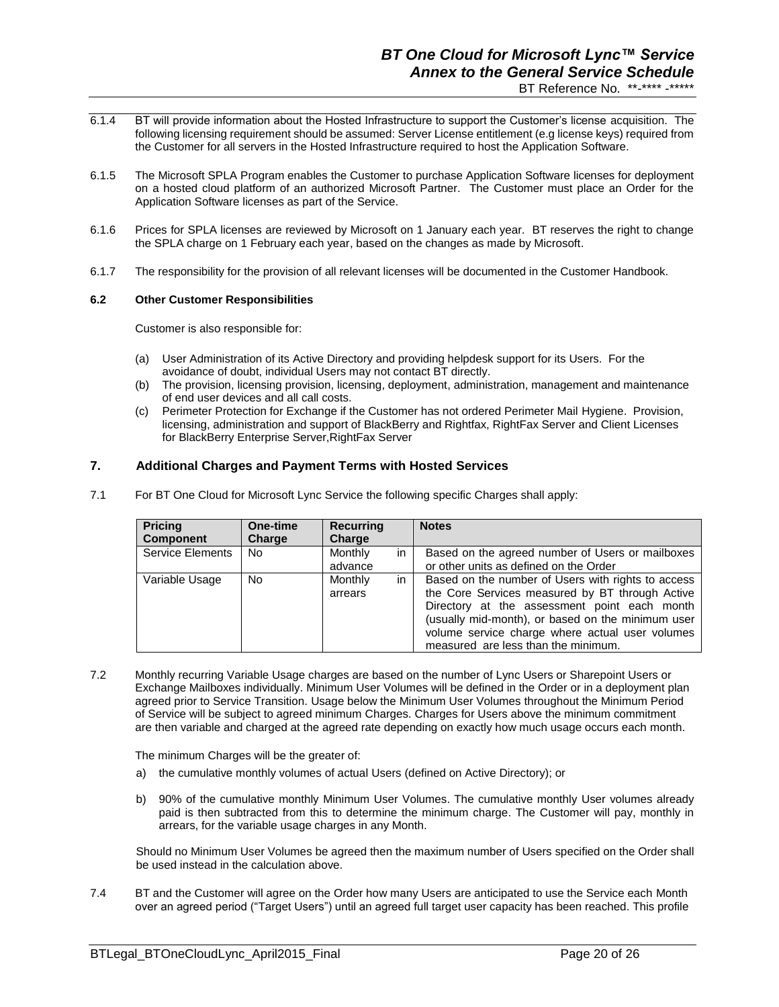- 6.1.4 BT will provide information about the Hosted Infrastructure to support the Customer's license acquisition. The following licensing requirement should be assumed: Server License entitlement (e.g license keys) required from the Customer for all servers in the Hosted Infrastructure required to host the Application Software.
- 6.1.5 The Microsoft SPLA Program enables the Customer to purchase Application Software licenses for deployment on a hosted cloud platform of an authorized Microsoft Partner. The Customer must place an Order for the Application Software licenses as part of the Service.
- 6.1.6 Prices for SPLA licenses are reviewed by Microsoft on 1 January each year. BT reserves the right to change the SPLA charge on 1 February each year, based on the changes as made by Microsoft.
- 6.1.7 The responsibility for the provision of all relevant licenses will be documented in the Customer Handbook.

#### **6.2 Other Customer Responsibilities**

Customer is also responsible for:

- (a) User Administration of its Active Directory and providing helpdesk support for its Users. For the avoidance of doubt, individual Users may not contact BT directly.
- (b) The provision, licensing provision, licensing, deployment, administration, management and maintenance of end user devices and all call costs.
- (c) Perimeter Protection for Exchange if the Customer has not ordered Perimeter Mail Hygiene. Provision, licensing, administration and support of BlackBerry and Rightfax, RightFax Server and Client Licenses for BlackBerry Enterprise Server,RightFax Server

### **7. Additional Charges and Payment Terms with Hosted Services**

7.1 For BT One Cloud for Microsoft Lync Service the following specific Charges shall apply:

| <b>Pricing</b><br><b>Component</b> | One-time<br>Charge | <b>Recurring</b><br>Charge |    | <b>Notes</b>                                                                                                                                                                                                                                                                                         |
|------------------------------------|--------------------|----------------------------|----|------------------------------------------------------------------------------------------------------------------------------------------------------------------------------------------------------------------------------------------------------------------------------------------------------|
| <b>Service Elements</b>            | No.                | Monthly<br>advance         | in | Based on the agreed number of Users or mailboxes<br>or other units as defined on the Order                                                                                                                                                                                                           |
| Variable Usage                     | No.                | Monthly<br>arrears         | in | Based on the number of Users with rights to access<br>the Core Services measured by BT through Active<br>Directory at the assessment point each month<br>(usually mid-month), or based on the minimum user<br>volume service charge where actual user volumes<br>measured are less than the minimum. |

7.2 Monthly recurring Variable Usage charges are based on the number of Lync Users or Sharepoint Users or Exchange Mailboxes individually. Minimum User Volumes will be defined in the Order or in a deployment plan agreed prior to Service Transition. Usage below the Minimum User Volumes throughout the Minimum Period of Service will be subject to agreed minimum Charges. Charges for Users above the minimum commitment are then variable and charged at the agreed rate depending on exactly how much usage occurs each month.

The minimum Charges will be the greater of:

- a) the cumulative monthly volumes of actual Users (defined on Active Directory); or
- b) 90% of the cumulative monthly Minimum User Volumes. The cumulative monthly User volumes already paid is then subtracted from this to determine the minimum charge. The Customer will pay, monthly in arrears, for the variable usage charges in any Month.

Should no Minimum User Volumes be agreed then the maximum number of Users specified on the Order shall be used instead in the calculation above.

7.4 BT and the Customer will agree on the Order how many Users are anticipated to use the Service each Month over an agreed period ("Target Users") until an agreed full target user capacity has been reached. This profile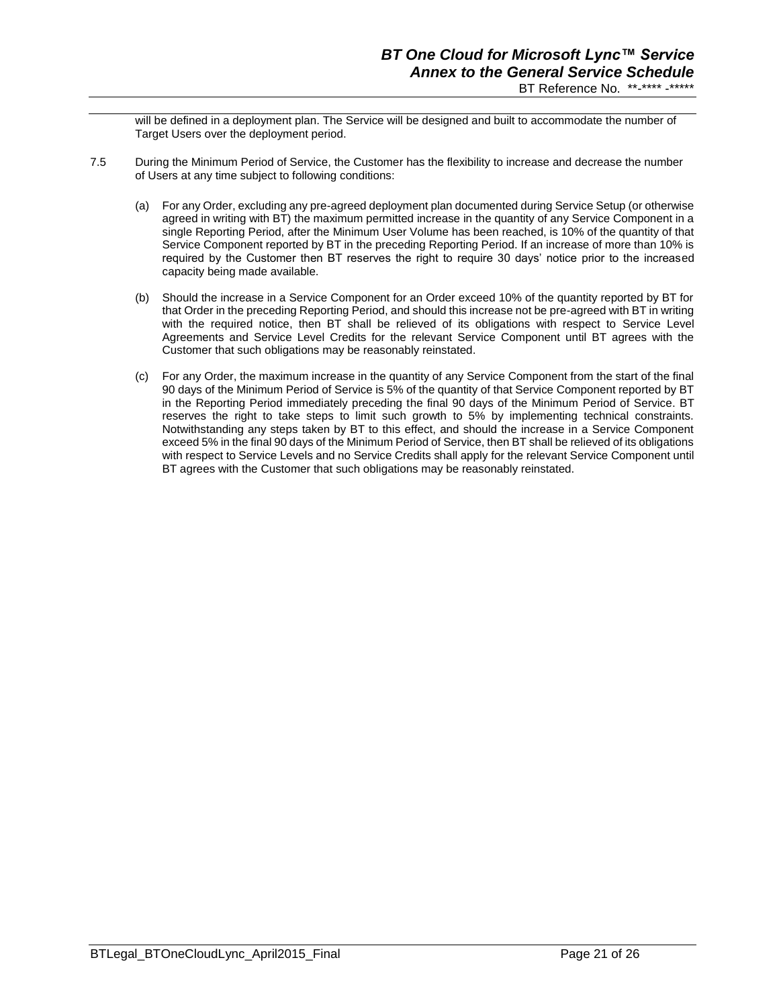will be defined in a deployment plan. The Service will be designed and built to accommodate the number of Target Users over the deployment period.

- 7.5 During the Minimum Period of Service, the Customer has the flexibility to increase and decrease the number of Users at any time subject to following conditions:
	- (a) For any Order, excluding any pre-agreed deployment plan documented during Service Setup (or otherwise agreed in writing with BT) the maximum permitted increase in the quantity of any Service Component in a single Reporting Period, after the Minimum User Volume has been reached, is 10% of the quantity of that Service Component reported by BT in the preceding Reporting Period. If an increase of more than 10% is required by the Customer then BT reserves the right to require 30 days' notice prior to the increased capacity being made available.
	- (b) Should the increase in a Service Component for an Order exceed 10% of the quantity reported by BT for that Order in the preceding Reporting Period, and should this increase not be pre-agreed with BT in writing with the required notice, then BT shall be relieved of its obligations with respect to Service Level Agreements and Service Level Credits for the relevant Service Component until BT agrees with the Customer that such obligations may be reasonably reinstated.
	- (c) For any Order, the maximum increase in the quantity of any Service Component from the start of the final 90 days of the Minimum Period of Service is 5% of the quantity of that Service Component reported by BT in the Reporting Period immediately preceding the final 90 days of the Minimum Period of Service. BT reserves the right to take steps to limit such growth to 5% by implementing technical constraints. Notwithstanding any steps taken by BT to this effect, and should the increase in a Service Component exceed 5% in the final 90 days of the Minimum Period of Service, then BT shall be relieved of its obligations with respect to Service Levels and no Service Credits shall apply for the relevant Service Component until BT agrees with the Customer that such obligations may be reasonably reinstated.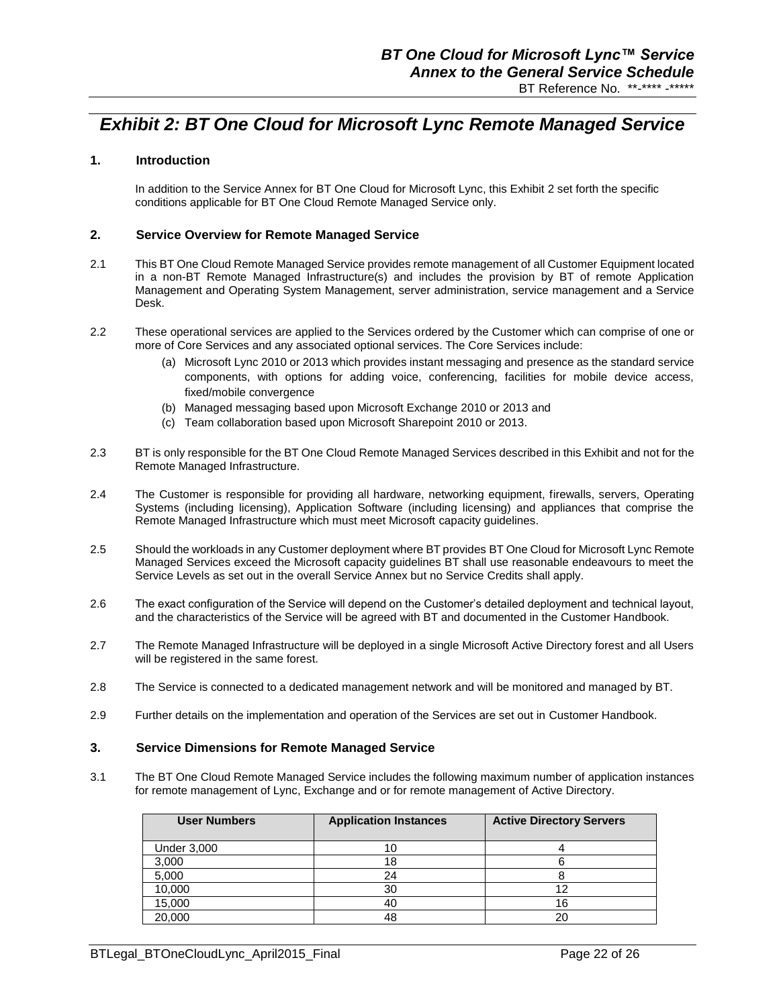## *Exhibit 2: BT One Cloud for Microsoft Lync Remote Managed Service*

## **1. Introduction**

In addition to the Service Annex for BT One Cloud for Microsoft Lync, this Exhibit 2 set forth the specific conditions applicable for BT One Cloud Remote Managed Service only.

### **2. Service Overview for Remote Managed Service**

- 2.1 This BT One Cloud Remote Managed Service provides remote management of all Customer Equipment located in a non-BT Remote Managed Infrastructure(s) and includes the provision by BT of remote Application Management and Operating System Management, server administration, service management and a Service Desk.
- 2.2 These operational services are applied to the Services ordered by the Customer which can comprise of one or more of Core Services and any associated optional services. The Core Services include:
	- (a) Microsoft Lync 2010 or 2013 which provides instant messaging and presence as the standard service components, with options for adding voice, conferencing, facilities for mobile device access, fixed/mobile convergence
	- (b) Managed messaging based upon Microsoft Exchange 2010 or 2013 and
	- (c) Team collaboration based upon Microsoft Sharepoint 2010 or 2013.
- 2.3 BT is only responsible for the BT One Cloud Remote Managed Services described in this Exhibit and not for the Remote Managed Infrastructure.
- 2.4 The Customer is responsible for providing all hardware, networking equipment, firewalls, servers, Operating Systems (including licensing), Application Software (including licensing) and appliances that comprise the Remote Managed Infrastructure which must meet Microsoft capacity guidelines.
- 2.5 Should the workloads in any Customer deployment where BT provides BT One Cloud for Microsoft Lync Remote Managed Services exceed the Microsoft capacity guidelines BT shall use reasonable endeavours to meet the Service Levels as set out in the overall Service Annex but no Service Credits shall apply.
- 2.6 The exact configuration of the Service will depend on the Customer's detailed deployment and technical layout, and the characteristics of the Service will be agreed with BT and documented in the Customer Handbook.
- 2.7 The Remote Managed Infrastructure will be deployed in a single Microsoft Active Directory forest and all Users will be registered in the same forest.
- 2.8 The Service is connected to a dedicated management network and will be monitored and managed by BT.
- 2.9 Further details on the implementation and operation of the Services are set out in Customer Handbook.

#### **3. Service Dimensions for Remote Managed Service**

3.1 The BT One Cloud Remote Managed Service includes the following maximum number of application instances for remote management of Lync, Exchange and or for remote management of Active Directory.

| <b>User Numbers</b> | <b>Application Instances</b> | <b>Active Directory Servers</b> |
|---------------------|------------------------------|---------------------------------|
| <b>Under 3,000</b>  |                              |                                 |
| 3,000               | 18                           |                                 |
| 5,000               | 24                           |                                 |
| 10,000              | 30                           |                                 |
| 15,000              | 40                           | 16                              |
| 20,000              | 48                           | 20                              |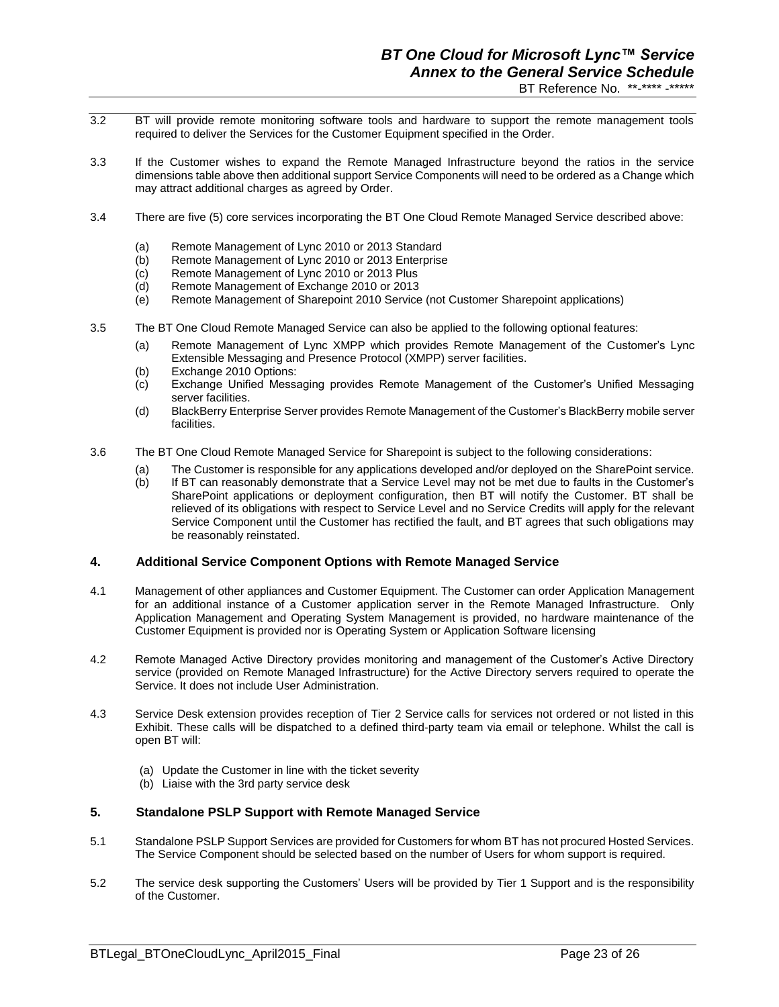- 3.2 BT will provide remote monitoring software tools and hardware to support the remote management tools required to deliver the Services for the Customer Equipment specified in the Order.
- 3.3 If the Customer wishes to expand the Remote Managed Infrastructure beyond the ratios in the service dimensions table above then additional support Service Components will need to be ordered as a Change which may attract additional charges as agreed by Order.
- 3.4 There are five (5) core services incorporating the BT One Cloud Remote Managed Service described above:
	- (a) Remote Management of Lync 2010 or 2013 Standard<br>(b) Remote Management of Lync 2010 or 2013 Enterprise
	- (b) Remote Management of Lync 2010 or 2013 Enterprise<br>(c) Remote Management of Lync 2010 or 2013 Plus
	- (c) Remote Management of Lync 2010 or 2013 Plus
	- Remote Management of Exchange 2010 or 2013
	- (e) Remote Management of Sharepoint 2010 Service (not Customer Sharepoint applications)
- 3.5 The BT One Cloud Remote Managed Service can also be applied to the following optional features:
	- (a) Remote Management of Lync XMPP which provides Remote Management of the Customer's Lync Extensible Messaging and Presence Protocol (XMPP) server facilities.
	- (b) Exchange 2010 Options:
	- (c) Exchange Unified Messaging provides Remote Management of the Customer's Unified Messaging server facilities.
	- (d) BlackBerry Enterprise Server provides Remote Management of the Customer's BlackBerry mobile server facilities.
- 3.6 The BT One Cloud Remote Managed Service for Sharepoint is subject to the following considerations:
	- (a) The Customer is responsible for any applications developed and/or deployed on the SharePoint service.
	- (b) If BT can reasonably demonstrate that a Service Level may not be met due to faults in the Customer's SharePoint applications or deployment configuration, then BT will notify the Customer. BT shall be relieved of its obligations with respect to Service Level and no Service Credits will apply for the relevant Service Component until the Customer has rectified the fault, and BT agrees that such obligations may be reasonably reinstated.

## **4. Additional Service Component Options with Remote Managed Service**

- 4.1 Management of other appliances and Customer Equipment. The Customer can order Application Management for an additional instance of a Customer application server in the Remote Managed Infrastructure. Only Application Management and Operating System Management is provided, no hardware maintenance of the Customer Equipment is provided nor is Operating System or Application Software licensing
- 4.2 Remote Managed Active Directory provides monitoring and management of the Customer's Active Directory service (provided on Remote Managed Infrastructure) for the Active Directory servers required to operate the Service. It does not include User Administration.
- 4.3 Service Desk extension provides reception of Tier 2 Service calls for services not ordered or not listed in this Exhibit. These calls will be dispatched to a defined third-party team via email or telephone. Whilst the call is open BT will:
	- (a) Update the Customer in line with the ticket severity
	- (b) Liaise with the 3rd party service desk

#### **5. Standalone PSLP Support with Remote Managed Service**

- 5.1 Standalone PSLP Support Services are provided for Customers for whom BT has not procured Hosted Services. The Service Component should be selected based on the number of Users for whom support is required.
- 5.2 The service desk supporting the Customers' Users will be provided by Tier 1 Support and is the responsibility of the Customer.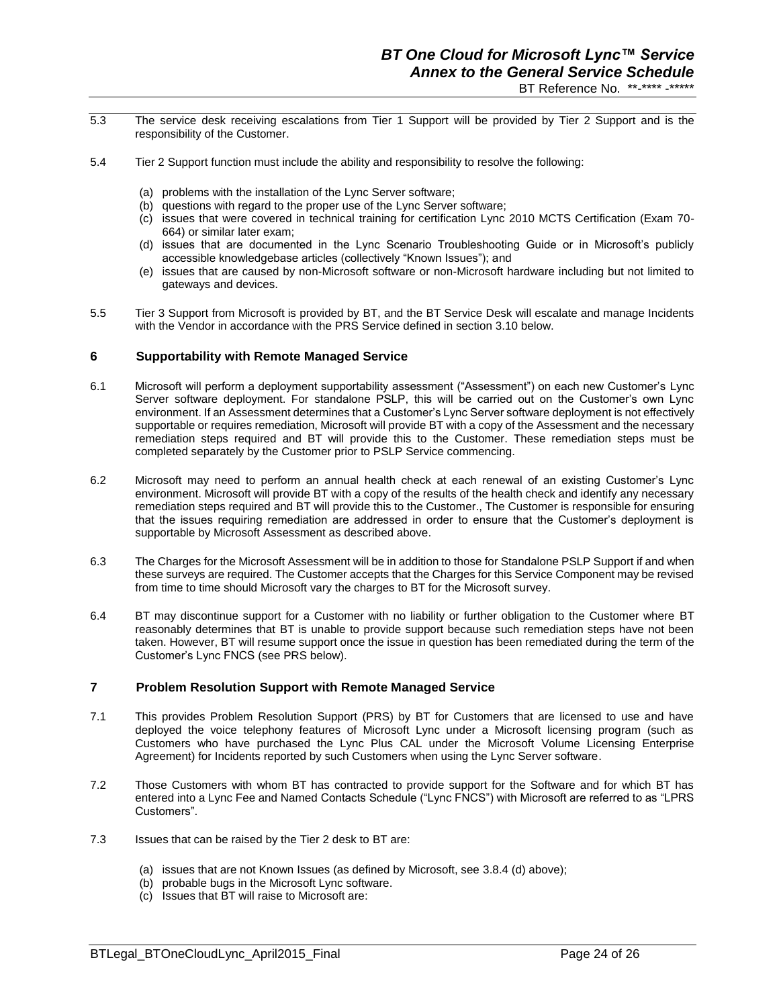- 5.3 The service desk receiving escalations from Tier 1 Support will be provided by Tier 2 Support and is the responsibility of the Customer.
- 5.4 Tier 2 Support function must include the ability and responsibility to resolve the following:
	- (a) problems with the installation of the Lync Server software;
	- (b) questions with regard to the proper use of the Lync Server software;
	- (c) issues that were covered in technical training for certification Lync 2010 MCTS Certification (Exam 70- 664) or similar later exam;
	- (d) issues that are documented in the Lync Scenario Troubleshooting Guide or in Microsoft's publicly accessible knowledgebase articles (collectively "Known Issues"); and
	- (e) issues that are caused by non-Microsoft software or non-Microsoft hardware including but not limited to gateways and devices.
- 5.5 Tier 3 Support from Microsoft is provided by BT, and the BT Service Desk will escalate and manage Incidents with the Vendor in accordance with the PRS Service defined in section 3.10 below.

### **6 Supportability with Remote Managed Service**

- 6.1 Microsoft will perform a deployment supportability assessment ("Assessment") on each new Customer's Lync Server software deployment. For standalone PSLP, this will be carried out on the Customer's own Lync environment. If an Assessment determines that a Customer's Lync Server software deployment is not effectively supportable or requires remediation, Microsoft will provide BT with a copy of the Assessment and the necessary remediation steps required and BT will provide this to the Customer. These remediation steps must be completed separately by the Customer prior to PSLP Service commencing.
- 6.2 Microsoft may need to perform an annual health check at each renewal of an existing Customer's Lync environment. Microsoft will provide BT with a copy of the results of the health check and identify any necessary remediation steps required and BT will provide this to the Customer., The Customer is responsible for ensuring that the issues requiring remediation are addressed in order to ensure that the Customer's deployment is supportable by Microsoft Assessment as described above.
- 6.3 The Charges for the Microsoft Assessment will be in addition to those for Standalone PSLP Support if and when these surveys are required. The Customer accepts that the Charges for this Service Component may be revised from time to time should Microsoft vary the charges to BT for the Microsoft survey.
- 6.4 BT may discontinue support for a Customer with no liability or further obligation to the Customer where BT reasonably determines that BT is unable to provide support because such remediation steps have not been taken. However, BT will resume support once the issue in question has been remediated during the term of the Customer's Lync FNCS (see PRS below).

#### **7 Problem Resolution Support with Remote Managed Service**

- 7.1 This provides Problem Resolution Support (PRS) by BT for Customers that are licensed to use and have deployed the voice telephony features of Microsoft Lync under a Microsoft licensing program (such as Customers who have purchased the Lync Plus CAL under the Microsoft Volume Licensing Enterprise Agreement) for Incidents reported by such Customers when using the Lync Server software.
- 7.2 Those Customers with whom BT has contracted to provide support for the Software and for which BT has entered into a Lync Fee and Named Contacts Schedule ("Lync FNCS") with Microsoft are referred to as "LPRS Customers".
- 7.3 Issues that can be raised by the Tier 2 desk to BT are:
	- (a) issues that are not Known Issues (as defined by Microsoft, see 3.8.4 (d) above);
	- (b) probable bugs in the Microsoft Lync software.
	- (c) Issues that BT will raise to Microsoft are: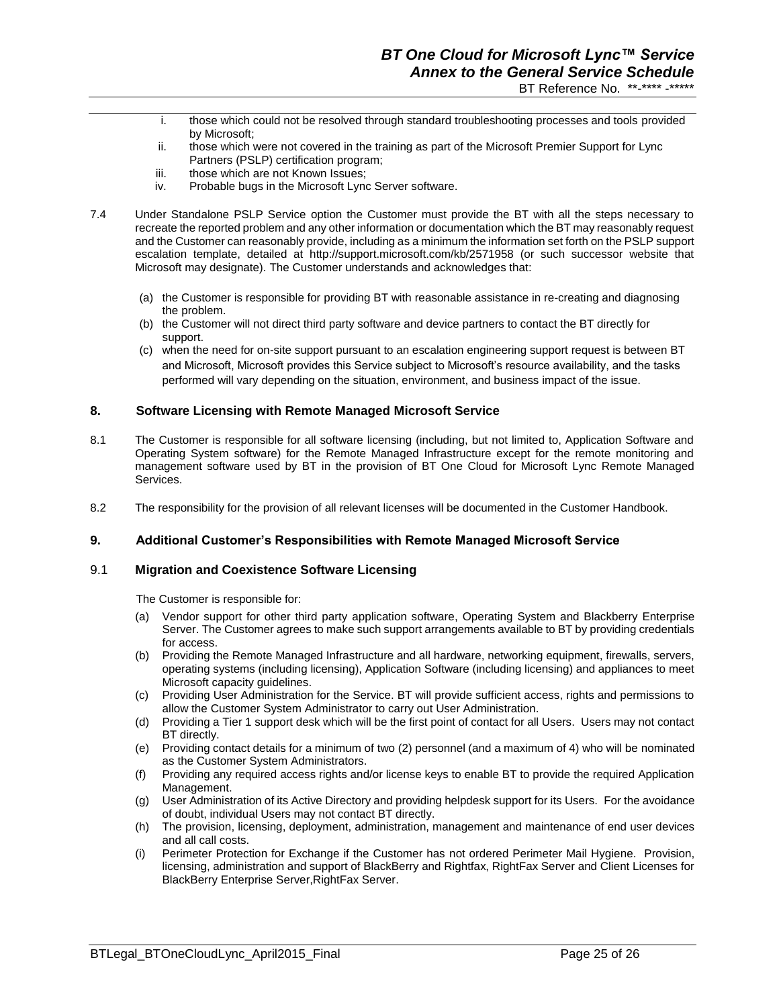- i. those which could not be resolved through standard troubleshooting processes and tools provided by Microsoft;
- ii. those which were not covered in the training as part of the Microsoft Premier Support for Lync Partners (PSLP) certification program;
- iii. those which are not Known Issues;
- iv. Probable bugs in the Microsoft Lync Server software.
- 7.4 Under Standalone PSLP Service option the Customer must provide the BT with all the steps necessary to recreate the reported problem and any other information or documentation which the BT may reasonably request and the Customer can reasonably provide, including as a minimum the information set forth on the PSLP support escalation template, detailed at http://support.microsoft.com/kb/2571958 (or such successor website that Microsoft may designate). The Customer understands and acknowledges that:
	- (a) the Customer is responsible for providing BT with reasonable assistance in re-creating and diagnosing the problem.
	- (b) the Customer will not direct third party software and device partners to contact the BT directly for support.
	- (c) when the need for on-site support pursuant to an escalation engineering support request is between BT and Microsoft, Microsoft provides this Service subject to Microsoft's resource availability, and the tasks performed will vary depending on the situation, environment, and business impact of the issue.

### **8. Software Licensing with Remote Managed Microsoft Service**

- 8.1 The Customer is responsible for all software licensing (including, but not limited to, Application Software and Operating System software) for the Remote Managed Infrastructure except for the remote monitoring and management software used by BT in the provision of BT One Cloud for Microsoft Lync Remote Managed Services.
- 8.2 The responsibility for the provision of all relevant licenses will be documented in the Customer Handbook.

#### **9. Additional Customer's Responsibilities with Remote Managed Microsoft Service**

#### 9.1 **Migration and Coexistence Software Licensing**

The Customer is responsible for:

- (a) Vendor support for other third party application software, Operating System and Blackberry Enterprise Server. The Customer agrees to make such support arrangements available to BT by providing credentials for access.
- (b) Providing the Remote Managed Infrastructure and all hardware, networking equipment, firewalls, servers, operating systems (including licensing), Application Software (including licensing) and appliances to meet Microsoft capacity guidelines.
- (c) Providing User Administration for the Service. BT will provide sufficient access, rights and permissions to allow the Customer System Administrator to carry out User Administration.
- (d) Providing a Tier 1 support desk which will be the first point of contact for all Users. Users may not contact BT directly.
- (e) Providing contact details for a minimum of two (2) personnel (and a maximum of 4) who will be nominated as the Customer System Administrators.
- (f) Providing any required access rights and/or license keys to enable BT to provide the required Application Management.
- (g) User Administration of its Active Directory and providing helpdesk support for its Users. For the avoidance of doubt, individual Users may not contact BT directly.
- (h) The provision, licensing, deployment, administration, management and maintenance of end user devices and all call costs.
- (i) Perimeter Protection for Exchange if the Customer has not ordered Perimeter Mail Hygiene. Provision, licensing, administration and support of BlackBerry and Rightfax, RightFax Server and Client Licenses for BlackBerry Enterprise Server,RightFax Server.